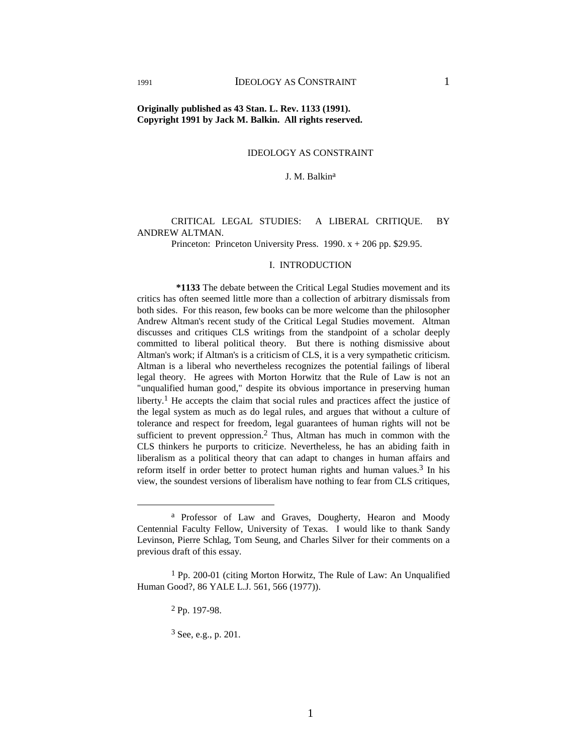# IDEOLOGY AS CONSTRAINT

#### J. M. Balkin<sup>a</sup>

## CRITICAL LEGAL STUDIES: A LIBERAL CRITIQUE. BY ANDREW ALTMAN.

Princeton: Princeton University Press.  $1990. x + 206$  pp. \$29.95.

#### I. INTRODUCTION

 **\*1133** The debate between the Critical Legal Studies movement and its critics has often seemed little more than a collection of arbitrary dismissals from both sides. For this reason, few books can be more welcome than the philosopher Andrew Altman's recent study of the Critical Legal Studies movement. Altman discusses and critiques CLS writings from the standpoint of a scholar deeply committed to liberal political theory. But there is nothing dismissive about Altman's work; if Altman's is a criticism of CLS, it is a very sympathetic criticism. Altman is a liberal who nevertheless recognizes the potential failings of liberal legal theory. He agrees with Morton Horwitz that the Rule of Law is not an "unqualified human good," despite its obvious importance in preserving human liberty.<sup>1</sup> He accepts the claim that social rules and practices affect the justice of the legal system as much as do legal rules, and argues that without a culture of tolerance and respect for freedom, legal guarantees of human rights will not be sufficient to prevent oppression.<sup>2</sup> Thus, Altman has much in common with the CLS thinkers he purports to criticize. Nevertheless, he has an abiding faith in liberalism as a political theory that can adapt to changes in human affairs and reform itself in order better to protect human rights and human values.3 In his view, the soundest versions of liberalism have nothing to fear from CLS critiques,

a Professor of Law and Graves, Dougherty, Hearon and Moody Centennial Faculty Fellow, University of Texas. I would like to thank Sandy Levinson, Pierre Schlag, Tom Seung, and Charles Silver for their comments on a previous draft of this essay.

 $1$  Pp. 200-01 (citing Morton Horwitz, The Rule of Law: An Unqualified Human Good?, 86 YALE L.J. 561, 566 (1977)).

<sup>2</sup> Pp. 197-98.

<sup>3</sup> See, e.g., p. 201.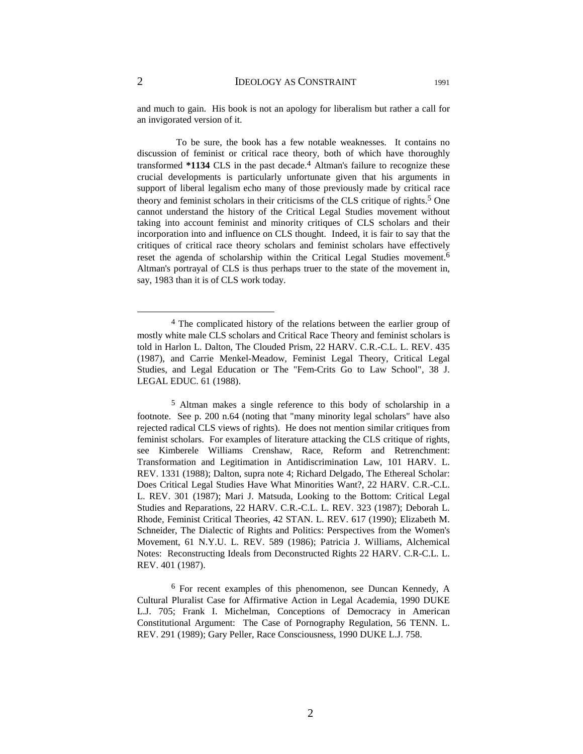and much to gain. His book is not an apology for liberalism but rather a call for an invigorated version of it.

 To be sure, the book has a few notable weaknesses. It contains no discussion of feminist or critical race theory, both of which have thoroughly transformed \*1134 CLS in the past decade.<sup>4</sup> Altman's failure to recognize these crucial developments is particularly unfortunate given that his arguments in support of liberal legalism echo many of those previously made by critical race theory and feminist scholars in their criticisms of the CLS critique of rights.<sup>5</sup> One cannot understand the history of the Critical Legal Studies movement without taking into account feminist and minority critiques of CLS scholars and their incorporation into and influence on CLS thought. Indeed, it is fair to say that the critiques of critical race theory scholars and feminist scholars have effectively reset the agenda of scholarship within the Critical Legal Studies movement.6 Altman's portrayal of CLS is thus perhaps truer to the state of the movement in, say, 1983 than it is of CLS work today.

<sup>&</sup>lt;sup>4</sup> The complicated history of the relations between the earlier group of mostly white male CLS scholars and Critical Race Theory and feminist scholars is told in Harlon L. Dalton, The Clouded Prism, 22 HARV. C.R.-C.L. L. REV. 435 (1987), and Carrie Menkel-Meadow, Feminist Legal Theory, Critical Legal Studies, and Legal Education or The "Fem-Crits Go to Law School", 38 J. LEGAL EDUC. 61 (1988).

<sup>5</sup> Altman makes a single reference to this body of scholarship in a footnote. See p. 200 n.64 (noting that "many minority legal scholars" have also rejected radical CLS views of rights). He does not mention similar critiques from feminist scholars. For examples of literature attacking the CLS critique of rights, see Kimberele Williams Crenshaw, Race, Reform and Retrenchment: Transformation and Legitimation in Antidiscrimination Law, 101 HARV. L. REV. 1331 (1988); Dalton, supra note 4; Richard Delgado, The Ethereal Scholar: Does Critical Legal Studies Have What Minorities Want?, 22 HARV. C.R.-C.L. L. REV. 301 (1987); Mari J. Matsuda, Looking to the Bottom: Critical Legal Studies and Reparations, 22 HARV. C.R.-C.L. L. REV. 323 (1987); Deborah L. Rhode, Feminist Critical Theories, 42 STAN. L. REV. 617 (1990); Elizabeth M. Schneider, The Dialectic of Rights and Politics: Perspectives from the Women's Movement, 61 N.Y.U. L. REV. 589 (1986); Patricia J. Williams, Alchemical Notes: Reconstructing Ideals from Deconstructed Rights 22 HARV. C.R-C.L. L. REV. 401 (1987).

<sup>6</sup> For recent examples of this phenomenon, see Duncan Kennedy, A Cultural Pluralist Case for Affirmative Action in Legal Academia, 1990 DUKE L.J. 705; Frank I. Michelman, Conceptions of Democracy in American Constitutional Argument: The Case of Pornography Regulation, 56 TENN. L. REV. 291 (1989); Gary Peller, Race Consciousness, 1990 DUKE L.J. 758.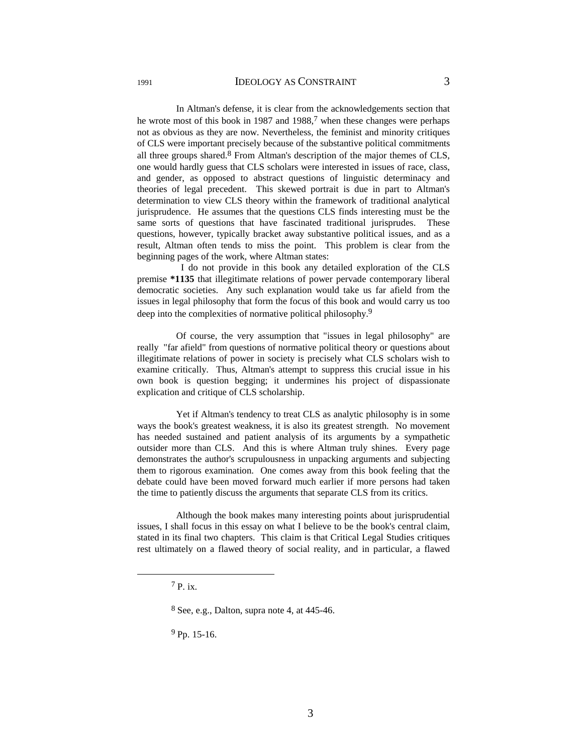In Altman's defense, it is clear from the acknowledgements section that he wrote most of this book in 1987 and 1988, $7$  when these changes were perhaps not as obvious as they are now. Nevertheless, the feminist and minority critiques of CLS were important precisely because of the substantive political commitments all three groups shared. $8$  From Altman's description of the major themes of CLS, one would hardly guess that CLS scholars were interested in issues of race, class, and gender, as opposed to abstract questions of linguistic determinacy and theories of legal precedent. This skewed portrait is due in part to Altman's determination to view CLS theory within the framework of traditional analytical jurisprudence. He assumes that the questions CLS finds interesting must be the same sorts of questions that have fascinated traditional jurisprudes. These questions, however, typically bracket away substantive political issues, and as a result, Altman often tends to miss the point. This problem is clear from the beginning pages of the work, where Altman states:

 I do not provide in this book any detailed exploration of the CLS premise **\*1135** that illegitimate relations of power pervade contemporary liberal democratic societies. Any such explanation would take us far afield from the issues in legal philosophy that form the focus of this book and would carry us too deep into the complexities of normative political philosophy.<sup>9</sup>

 Of course, the very assumption that "issues in legal philosophy" are really "far afield" from questions of normative political theory or questions about illegitimate relations of power in society is precisely what CLS scholars wish to examine critically. Thus, Altman's attempt to suppress this crucial issue in his own book is question begging; it undermines his project of dispassionate explication and critique of CLS scholarship.

 Yet if Altman's tendency to treat CLS as analytic philosophy is in some ways the book's greatest weakness, it is also its greatest strength. No movement has needed sustained and patient analysis of its arguments by a sympathetic outsider more than CLS. And this is where Altman truly shines. Every page demonstrates the author's scrupulousness in unpacking arguments and subjecting them to rigorous examination. One comes away from this book feeling that the debate could have been moved forward much earlier if more persons had taken the time to patiently discuss the arguments that separate CLS from its critics.

 Although the book makes many interesting points about jurisprudential issues, I shall focus in this essay on what I believe to be the book's central claim, stated in its final two chapters. This claim is that Critical Legal Studies critiques rest ultimately on a flawed theory of social reality, and in particular, a flawed

9 Pp. 15-16.

 $7 p_{i}x$ 

<sup>8</sup> See, e.g., Dalton, supra note 4, at 445-46.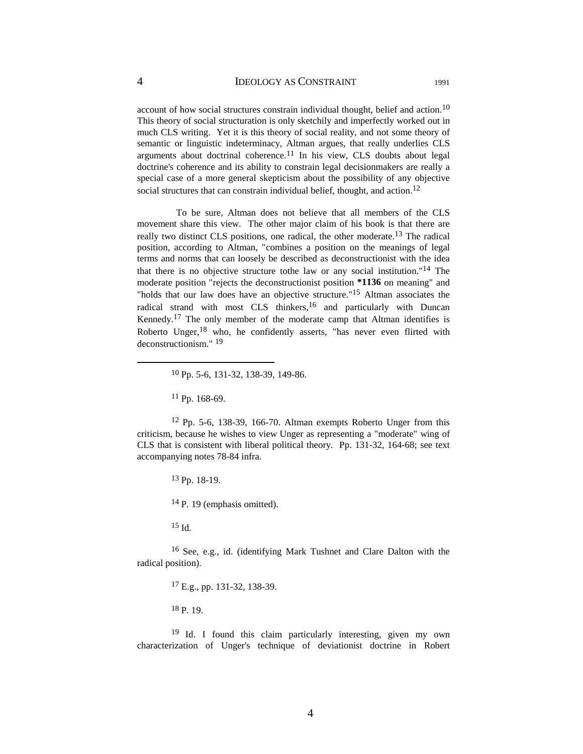account of how social structures constrain individual thought, belief and action.<sup>10</sup> This theory of social structuration is only sketchily and imperfectly worked out in much CLS writing. Yet it is this theory of social reality, and not some theory of semantic or linguistic indeterminacy, Altman argues, that really underlies CLS arguments about doctrinal coherence.<sup>11</sup> In his view, CLS doubts about legal doctrine's coherence and its ability to constrain legal decisionmakers are really a special case of a more general skepticism about the possibility of any objective social structures that can constrain individual belief, thought, and action.<sup>12</sup>

 To be sure, Altman does not believe that all members of the CLS movement share this view. The other major claim of his book is that there are really two distinct CLS positions, one radical, the other moderate.13 The radical position, according to Altman, "combines a position on the meanings of legal terms and norms that can loosely be described as deconstructionist with the idea that there is no objective structure tothe law or any social institution."14 The moderate position "rejects the deconstructionist position **\*1136** on meaning" and "holds that our law does have an objective structure."15 Altman associates the radical strand with most CLS thinkers,<sup>16</sup> and particularly with Duncan Kennedy.17 The only member of the moderate camp that Altman identifies is Roberto Unger,18 who, he confidently asserts, "has never even flirted with deconstructionism." 19

11 Pp. 168-69.

12 Pp. 5-6, 138-39, 166-70. Altman exempts Roberto Unger from this criticism, because he wishes to view Unger as representing a "moderate" wing of CLS that is consistent with liberal political theory. Pp. 131-32, 164-68; see text accompanying notes 78-84 infra.

13 Pp. 18-19.

14 P. 19 (emphasis omitted).

15 Id.

16 See, e.g., id. (identifying Mark Tushnet and Clare Dalton with the radical position).

17 E.g., pp. 131-32, 138-39.

18 P. 19.

19 Id. I found this claim particularly interesting, given my own characterization of Unger's technique of deviationist doctrine in Robert

 <sup>10</sup> Pp. 5-6, 131-32, 138-39, 149-86.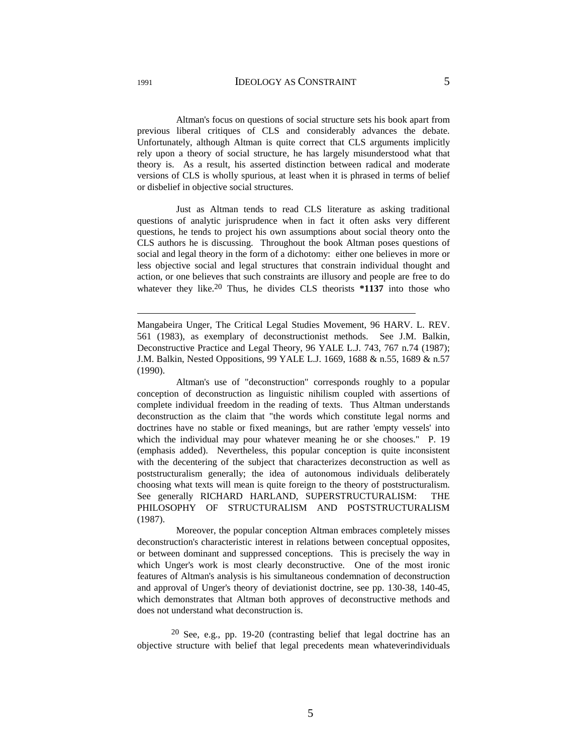Altman's focus on questions of social structure sets his book apart from previous liberal critiques of CLS and considerably advances the debate. Unfortunately, although Altman is quite correct that CLS arguments implicitly rely upon a theory of social structure, he has largely misunderstood what that theory is. As a result, his asserted distinction between radical and moderate versions of CLS is wholly spurious, at least when it is phrased in terms of belief or disbelief in objective social structures.

 Just as Altman tends to read CLS literature as asking traditional questions of analytic jurisprudence when in fact it often asks very different questions, he tends to project his own assumptions about social theory onto the CLS authors he is discussing. Throughout the book Altman poses questions of social and legal theory in the form of a dichotomy: either one believes in more or less objective social and legal structures that constrain individual thought and action, or one believes that such constraints are illusory and people are free to do whatever they like.<sup>20</sup> Thus, he divides CLS theorists \*1137 into those who

Mangabeira Unger, The Critical Legal Studies Movement, 96 HARV. L. REV. 561 (1983), as exemplary of deconstructionist methods. See J.M. Balkin, Deconstructive Practice and Legal Theory, 96 YALE L.J. 743, 767 n.74 (1987); J.M. Balkin, Nested Oppositions, 99 YALE L.J. 1669, 1688 & n.55, 1689 & n.57 (1990).

 Altman's use of "deconstruction" corresponds roughly to a popular conception of deconstruction as linguistic nihilism coupled with assertions of complete individual freedom in the reading of texts. Thus Altman understands deconstruction as the claim that "the words which constitute legal norms and doctrines have no stable or fixed meanings, but are rather 'empty vessels' into which the individual may pour whatever meaning he or she chooses." P. 19 (emphasis added). Nevertheless, this popular conception is quite inconsistent with the decentering of the subject that characterizes deconstruction as well as poststructuralism generally; the idea of autonomous individuals deliberately choosing what texts will mean is quite foreign to the theory of poststructuralism. See generally RICHARD HARLAND, SUPERSTRUCTURALISM: THE PHILOSOPHY OF STRUCTURALISM AND POSTSTRUCTURALISM (1987).

 Moreover, the popular conception Altman embraces completely misses deconstruction's characteristic interest in relations between conceptual opposites, or between dominant and suppressed conceptions. This is precisely the way in which Unger's work is most clearly deconstructive. One of the most ironic features of Altman's analysis is his simultaneous condemnation of deconstruction and approval of Unger's theory of deviationist doctrine, see pp. 130-38, 140-45, which demonstrates that Altman both approves of deconstructive methods and does not understand what deconstruction is.

 $20$  See, e.g., pp. 19-20 (contrasting belief that legal doctrine has an objective structure with belief that legal precedents mean whateverindividuals

 $\overline{a}$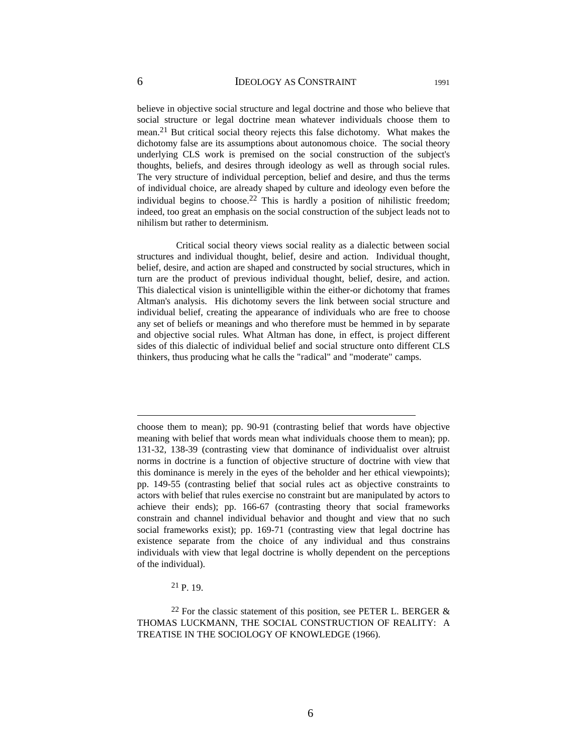believe in objective social structure and legal doctrine and those who believe that social structure or legal doctrine mean whatever individuals choose them to mean.21 But critical social theory rejects this false dichotomy. What makes the dichotomy false are its assumptions about autonomous choice. The social theory underlying CLS work is premised on the social construction of the subject's thoughts, beliefs, and desires through ideology as well as through social rules. The very structure of individual perception, belief and desire, and thus the terms of individual choice, are already shaped by culture and ideology even before the individual begins to choose.<sup>22</sup> This is hardly a position of nihilistic freedom; indeed, too great an emphasis on the social construction of the subject leads not to nihilism but rather to determinism.

 Critical social theory views social reality as a dialectic between social structures and individual thought, belief, desire and action. Individual thought, belief, desire, and action are shaped and constructed by social structures, which in turn are the product of previous individual thought, belief, desire, and action. This dialectical vision is unintelligible within the either-or dichotomy that frames Altman's analysis. His dichotomy severs the link between social structure and individual belief, creating the appearance of individuals who are free to choose any set of beliefs or meanings and who therefore must be hemmed in by separate and objective social rules. What Altman has done, in effect, is project different sides of this dialectic of individual belief and social structure onto different CLS thinkers, thus producing what he calls the "radical" and "moderate" camps.

21 P. 19.

 $\overline{a}$ 

<sup>22</sup> For the classic statement of this position, see PETER L. BERGER  $\&$ THOMAS LUCKMANN, THE SOCIAL CONSTRUCTION OF REALITY: A TREATISE IN THE SOCIOLOGY OF KNOWLEDGE (1966).

choose them to mean); pp. 90-91 (contrasting belief that words have objective meaning with belief that words mean what individuals choose them to mean); pp. 131-32, 138-39 (contrasting view that dominance of individualist over altruist norms in doctrine is a function of objective structure of doctrine with view that this dominance is merely in the eyes of the beholder and her ethical viewpoints); pp. 149-55 (contrasting belief that social rules act as objective constraints to actors with belief that rules exercise no constraint but are manipulated by actors to achieve their ends); pp. 166-67 (contrasting theory that social frameworks constrain and channel individual behavior and thought and view that no such social frameworks exist); pp. 169-71 (contrasting view that legal doctrine has existence separate from the choice of any individual and thus constrains individuals with view that legal doctrine is wholly dependent on the perceptions of the individual).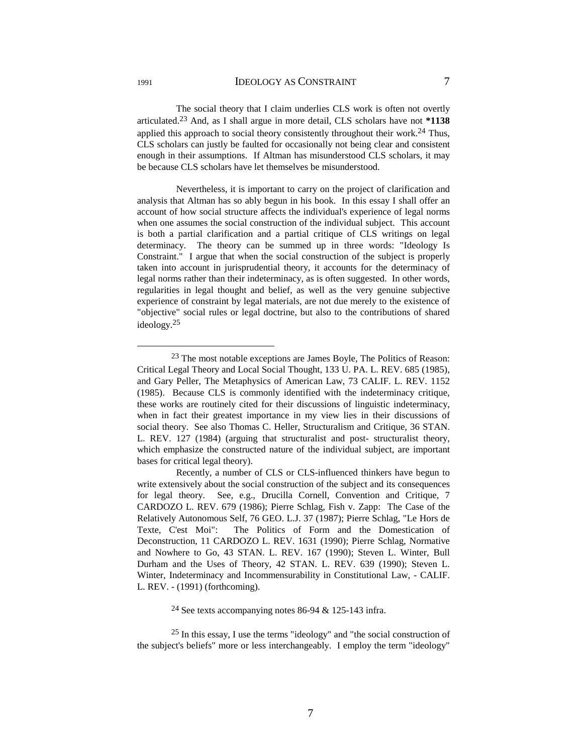The social theory that I claim underlies CLS work is often not overtly articulated.23 And, as I shall argue in more detail, CLS scholars have not **\*1138** applied this approach to social theory consistently throughout their work.<sup>24</sup> Thus, CLS scholars can justly be faulted for occasionally not being clear and consistent enough in their assumptions. If Altman has misunderstood CLS scholars, it may be because CLS scholars have let themselves be misunderstood.

 Nevertheless, it is important to carry on the project of clarification and analysis that Altman has so ably begun in his book. In this essay I shall offer an account of how social structure affects the individual's experience of legal norms when one assumes the social construction of the individual subject. This account is both a partial clarification and a partial critique of CLS writings on legal determinacy. The theory can be summed up in three words: "Ideology Is Constraint." I argue that when the social construction of the subject is properly taken into account in jurisprudential theory, it accounts for the determinacy of legal norms rather than their indeterminacy, as is often suggested. In other words, regularities in legal thought and belief, as well as the very genuine subjective experience of constraint by legal materials, are not due merely to the existence of "objective" social rules or legal doctrine, but also to the contributions of shared ideology.25

24 See texts accompanying notes 86-94 & 125-143 infra.

 <sup>23</sup> The most notable exceptions are James Boyle, The Politics of Reason: Critical Legal Theory and Local Social Thought, 133 U. PA. L. REV. 685 (1985), and Gary Peller, The Metaphysics of American Law, 73 CALIF. L. REV. 1152 (1985). Because CLS is commonly identified with the indeterminacy critique, these works are routinely cited for their discussions of linguistic indeterminacy, when in fact their greatest importance in my view lies in their discussions of social theory. See also Thomas C. Heller, Structuralism and Critique, 36 STAN. L. REV. 127 (1984) (arguing that structuralist and post- structuralist theory, which emphasize the constructed nature of the individual subject, are important bases for critical legal theory).

Recently, a number of CLS or CLS-influenced thinkers have begun to write extensively about the social construction of the subject and its consequences for legal theory. See, e.g., Drucilla Cornell, Convention and Critique, 7 CARDOZO L. REV. 679 (1986); Pierre Schlag, Fish v. Zapp: The Case of the Relatively Autonomous Self, 76 GEO. L.J. 37 (1987); Pierre Schlag, "Le Hors de Texte, C'est Moi": The Politics of Form and the Domestication of Deconstruction, 11 CARDOZO L. REV. 1631 (1990); Pierre Schlag, Normative and Nowhere to Go, 43 STAN. L. REV. 167 (1990); Steven L. Winter, Bull Durham and the Uses of Theory, 42 STAN. L. REV. 639 (1990); Steven L. Winter, Indeterminacy and Incommensurability in Constitutional Law, - CALIF. L. REV. - (1991) (forthcoming).

 $25$  In this essay, I use the terms "ideology" and "the social construction of the subject's beliefs" more or less interchangeably. I employ the term "ideology"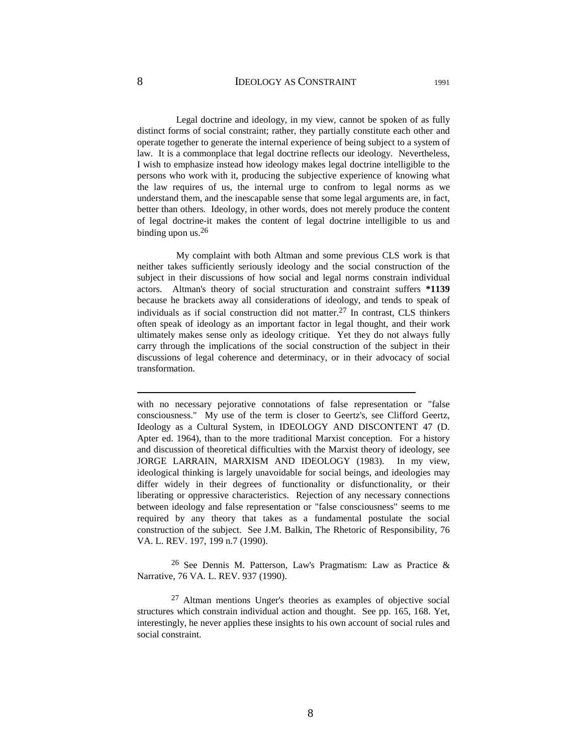## 8 **IDEOLOGY AS CONSTRAINT** 1991

 Legal doctrine and ideology, in my view, cannot be spoken of as fully distinct forms of social constraint; rather, they partially constitute each other and operate together to generate the internal experience of being subject to a system of law. It is a commonplace that legal doctrine reflects our ideology. Nevertheless, I wish to emphasize instead how ideology makes legal doctrine intelligible to the persons who work with it, producing the subjective experience of knowing what the law requires of us, the internal urge to confrom to legal norms as we understand them, and the inescapable sense that some legal arguments are, in fact, better than others. Ideology, in other words, does not merely produce the content of legal doctrine-it makes the content of legal doctrine intelligible to us and binding upon us.<sup>26</sup>

 My complaint with both Altman and some previous CLS work is that neither takes sufficiently seriously ideology and the social construction of the subject in their discussions of how social and legal norms constrain individual actors. Altman's theory of social structuration and constraint suffers **\*1139** because he brackets away all considerations of ideology, and tends to speak of individuals as if social construction did not matter.27 In contrast, CLS thinkers often speak of ideology as an important factor in legal thought, and their work ultimately makes sense only as ideology critique. Yet they do not always fully carry through the implications of the social construction of the subject in their discussions of legal coherence and determinacy, or in their advocacy of social transformation.

with no necessary pejorative connotations of false representation or "false consciousness." My use of the term is closer to Geertz's, see Clifford Geertz, Ideology as a Cultural System, in IDEOLOGY AND DISCONTENT 47 (D. Apter ed. 1964), than to the more traditional Marxist conception. For a history and discussion of theoretical difficulties with the Marxist theory of ideology, see JORGE LARRAIN, MARXISM AND IDEOLOGY (1983). In my view, ideological thinking is largely unavoidable for social beings, and ideologies may differ widely in their degrees of functionality or disfunctionality, or their liberating or oppressive characteristics. Rejection of any necessary connections between ideology and false representation or "false consciousness" seems to me required by any theory that takes as a fundamental postulate the social construction of the subject. See J.M. Balkin, The Rhetoric of Responsibility, 76 VA. L. REV. 197, 199 n.7 (1990).

<sup>26</sup> See Dennis M. Patterson, Law's Pragmatism: Law as Practice  $\&$ Narrative, 76 VA. L. REV. 937 (1990).

27 Altman mentions Unger's theories as examples of objective social structures which constrain individual action and thought. See pp. 165, 168. Yet, interestingly, he never applies these insights to his own account of social rules and social constraint.

 $\overline{a}$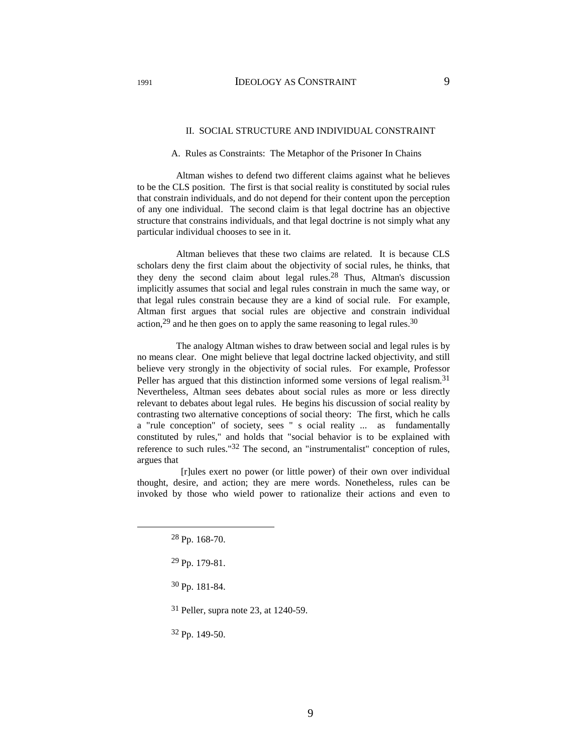# II. SOCIAL STRUCTURE AND INDIVIDUAL CONSTRAINT

#### A. Rules as Constraints: The Metaphor of the Prisoner In Chains

 Altman wishes to defend two different claims against what he believes to be the CLS position. The first is that social reality is constituted by social rules that constrain individuals, and do not depend for their content upon the perception of any one individual. The second claim is that legal doctrine has an objective structure that constrains individuals, and that legal doctrine is not simply what any particular individual chooses to see in it.

 Altman believes that these two claims are related. It is because CLS scholars deny the first claim about the objectivity of social rules, he thinks, that they deny the second claim about legal rules.28 Thus, Altman's discussion implicitly assumes that social and legal rules constrain in much the same way, or that legal rules constrain because they are a kind of social rule. For example, Altman first argues that social rules are objective and constrain individual action,<sup>29</sup> and he then goes on to apply the same reasoning to legal rules.<sup>30</sup>

 The analogy Altman wishes to draw between social and legal rules is by no means clear. One might believe that legal doctrine lacked objectivity, and still believe very strongly in the objectivity of social rules. For example, Professor Peller has argued that this distinction informed some versions of legal realism.<sup>31</sup> Nevertheless, Altman sees debates about social rules as more or less directly relevant to debates about legal rules. He begins his discussion of social reality by contrasting two alternative conceptions of social theory: The first, which he calls a "rule conception" of society, sees " s ocial reality ... as fundamentally constituted by rules," and holds that "social behavior is to be explained with reference to such rules."<sup>32</sup> The second, an "instrumentalist" conception of rules, argues that

 [r]ules exert no power (or little power) of their own over individual thought, desire, and action; they are mere words. Nonetheless, rules can be invoked by those who wield power to rationalize their actions and even to

31 Peller, supra note 23, at 1240-59.

32 Pp. 149-50.

 <sup>28</sup> Pp. 168-70.

<sup>29</sup> Pp. 179-81.

<sup>30</sup> Pp. 181-84.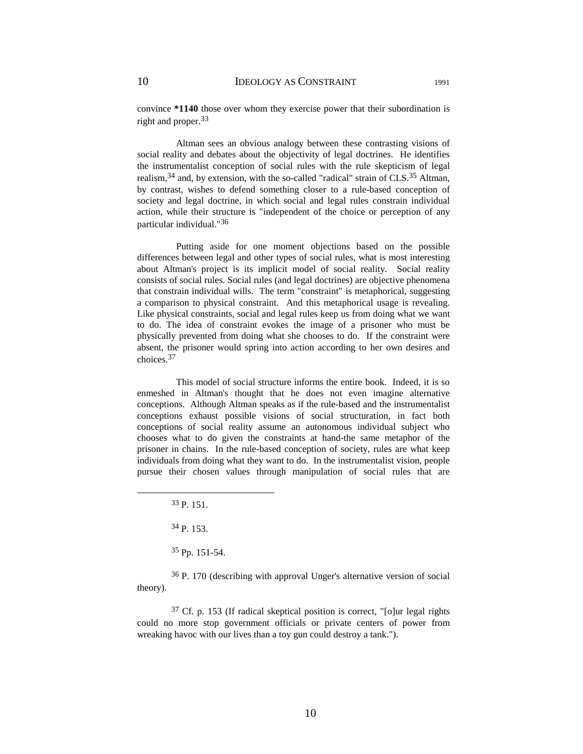convince **\*1140** those over whom they exercise power that their subordination is right and proper.33

 Altman sees an obvious analogy between these contrasting visions of social reality and debates about the objectivity of legal doctrines. He identifies the instrumentalist conception of social rules with the rule skepticism of legal realism,34 and, by extension, with the so-called "radical" strain of CLS.35 Altman, by contrast, wishes to defend something closer to a rule-based conception of society and legal doctrine, in which social and legal rules constrain individual action, while their structure is "independent of the choice or perception of any particular individual."36

 Putting aside for one moment objections based on the possible differences between legal and other types of social rules, what is most interesting about Altman's project is its implicit model of social reality. Social reality consists of social rules. Social rules (and legal doctrines) are objective phenomena that constrain individual wills. The term "constraint" is metaphorical, suggesting a comparison to physical constraint. And this metaphorical usage is revealing. Like physical constraints, social and legal rules keep us from doing what we want to do. The idea of constraint evokes the image of a prisoner who must be physically prevented from doing what she chooses to do. If the constraint were absent, the prisoner would spring into action according to her own desires and choices.37

 This model of social structure informs the entire book. Indeed, it is so enmeshed in Altman's thought that he does not even imagine alternative conceptions. Although Altman speaks as if the rule-based and the instrumentalist conceptions exhaust possible visions of social structuration, in fact both conceptions of social reality assume an autonomous individual subject who chooses what to do given the constraints at hand-the same metaphor of the prisoner in chains. In the rule-based conception of society, rules are what keep individuals from doing what they want to do. In the instrumentalist vision, people pursue their chosen values through manipulation of social rules that are

36 P. 170 (describing with approval Unger's alternative version of social theory).

 $37$  Cf. p. 153 (If radical skeptical position is correct, "[o]ur legal rights could no more stop government officials or private centers of power from wreaking havoc with our lives than a toy gun could destroy a tank.").

 <sup>33</sup> P. 151.

<sup>34</sup> P. 153.

<sup>35</sup> Pp. 151-54.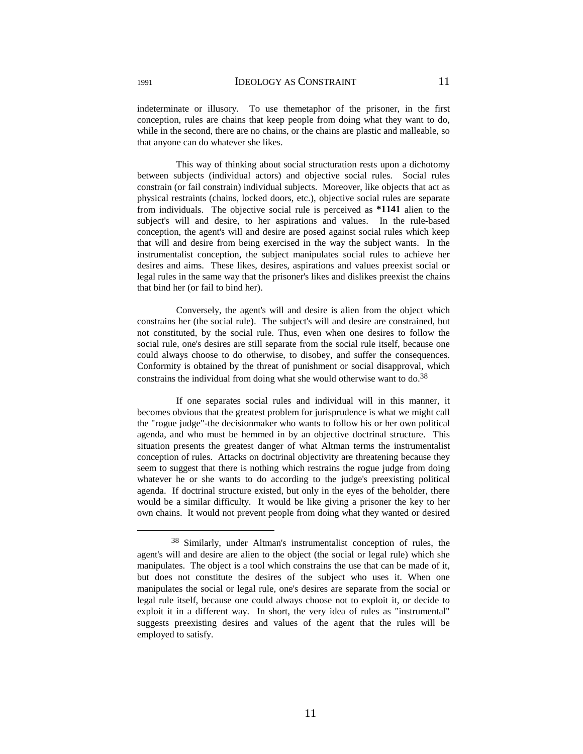indeterminate or illusory. To use themetaphor of the prisoner, in the first conception, rules are chains that keep people from doing what they want to do, while in the second, there are no chains, or the chains are plastic and malleable, so that anyone can do whatever she likes.

 This way of thinking about social structuration rests upon a dichotomy between subjects (individual actors) and objective social rules. Social rules constrain (or fail constrain) individual subjects. Moreover, like objects that act as physical restraints (chains, locked doors, etc.), objective social rules are separate from individuals. The objective social rule is perceived as **\*1141** alien to the subject's will and desire, to her aspirations and values. In the rule-based conception, the agent's will and desire are posed against social rules which keep that will and desire from being exercised in the way the subject wants. In the instrumentalist conception, the subject manipulates social rules to achieve her desires and aims. These likes, desires, aspirations and values preexist social or legal rules in the same way that the prisoner's likes and dislikes preexist the chains that bind her (or fail to bind her).

 Conversely, the agent's will and desire is alien from the object which constrains her (the social rule). The subject's will and desire are constrained, but not constituted, by the social rule. Thus, even when one desires to follow the social rule, one's desires are still separate from the social rule itself, because one could always choose to do otherwise, to disobey, and suffer the consequences. Conformity is obtained by the threat of punishment or social disapproval, which constrains the individual from doing what she would otherwise want to do.<sup>38</sup>

 If one separates social rules and individual will in this manner, it becomes obvious that the greatest problem for jurisprudence is what we might call the "rogue judge"-the decisionmaker who wants to follow his or her own political agenda, and who must be hemmed in by an objective doctrinal structure. This situation presents the greatest danger of what Altman terms the instrumentalist conception of rules. Attacks on doctrinal objectivity are threatening because they seem to suggest that there is nothing which restrains the rogue judge from doing whatever he or she wants to do according to the judge's preexisting political agenda. If doctrinal structure existed, but only in the eyes of the beholder, there would be a similar difficulty. It would be like giving a prisoner the key to her own chains. It would not prevent people from doing what they wanted or desired

 <sup>38</sup> Similarly, under Altman's instrumentalist conception of rules, the agent's will and desire are alien to the object (the social or legal rule) which she manipulates. The object is a tool which constrains the use that can be made of it, but does not constitute the desires of the subject who uses it. When one manipulates the social or legal rule, one's desires are separate from the social or legal rule itself, because one could always choose not to exploit it, or decide to exploit it in a different way. In short, the very idea of rules as "instrumental" suggests preexisting desires and values of the agent that the rules will be employed to satisfy.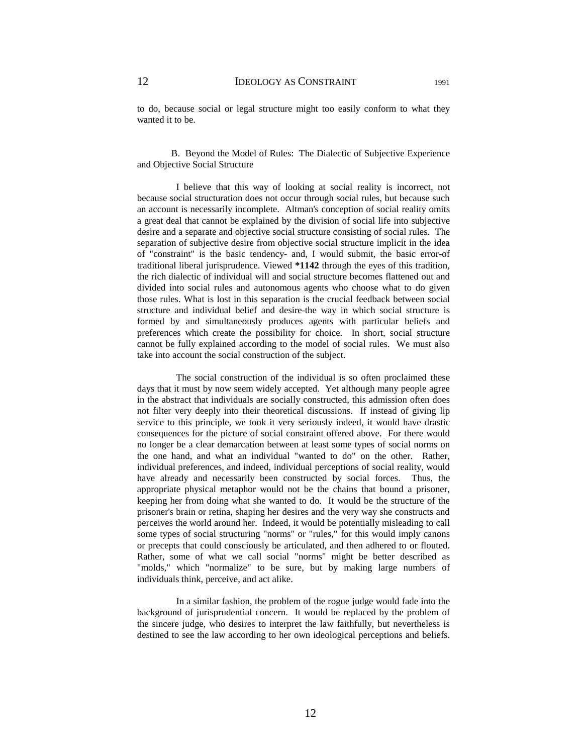to do, because social or legal structure might too easily conform to what they wanted it to be.

B. Beyond the Model of Rules: The Dialectic of Subjective Experience and Objective Social Structure

 I believe that this way of looking at social reality is incorrect, not because social structuration does not occur through social rules, but because such an account is necessarily incomplete. Altman's conception of social reality omits a great deal that cannot be explained by the division of social life into subjective desire and a separate and objective social structure consisting of social rules. The separation of subjective desire from objective social structure implicit in the idea of "constraint" is the basic tendency- and, I would submit, the basic error-of traditional liberal jurisprudence. Viewed **\*1142** through the eyes of this tradition, the rich dialectic of individual will and social structure becomes flattened out and divided into social rules and autonomous agents who choose what to do given those rules. What is lost in this separation is the crucial feedback between social structure and individual belief and desire-the way in which social structure is formed by and simultaneously produces agents with particular beliefs and preferences which create the possibility for choice. In short, social structure cannot be fully explained according to the model of social rules. We must also take into account the social construction of the subject.

 The social construction of the individual is so often proclaimed these days that it must by now seem widely accepted. Yet although many people agree in the abstract that individuals are socially constructed, this admission often does not filter very deeply into their theoretical discussions. If instead of giving lip service to this principle, we took it very seriously indeed, it would have drastic consequences for the picture of social constraint offered above. For there would no longer be a clear demarcation between at least some types of social norms on the one hand, and what an individual "wanted to do" on the other. Rather, individual preferences, and indeed, individual perceptions of social reality, would have already and necessarily been constructed by social forces. Thus, the appropriate physical metaphor would not be the chains that bound a prisoner, keeping her from doing what she wanted to do. It would be the structure of the prisoner's brain or retina, shaping her desires and the very way she constructs and perceives the world around her. Indeed, it would be potentially misleading to call some types of social structuring "norms" or "rules," for this would imply canons or precepts that could consciously be articulated, and then adhered to or flouted. Rather, some of what we call social "norms" might be better described as "molds," which "normalize" to be sure, but by making large numbers of individuals think, perceive, and act alike.

 In a similar fashion, the problem of the rogue judge would fade into the background of jurisprudential concern. It would be replaced by the problem of the sincere judge, who desires to interpret the law faithfully, but nevertheless is destined to see the law according to her own ideological perceptions and beliefs.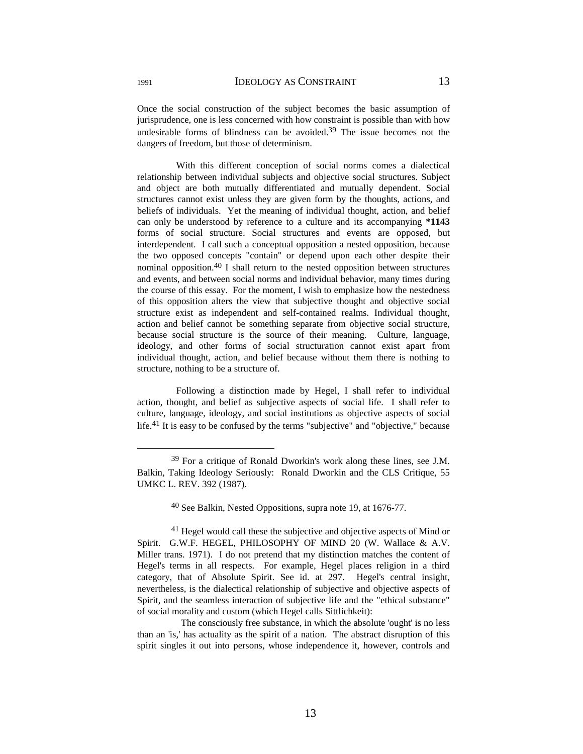Once the social construction of the subject becomes the basic assumption of jurisprudence, one is less concerned with how constraint is possible than with how undesirable forms of blindness can be avoided.<sup>39</sup> The issue becomes not the dangers of freedom, but those of determinism.

 With this different conception of social norms comes a dialectical relationship between individual subjects and objective social structures. Subject and object are both mutually differentiated and mutually dependent. Social structures cannot exist unless they are given form by the thoughts, actions, and beliefs of individuals. Yet the meaning of individual thought, action, and belief can only be understood by reference to a culture and its accompanying **\*1143** forms of social structure. Social structures and events are opposed, but interdependent. I call such a conceptual opposition a nested opposition, because the two opposed concepts "contain" or depend upon each other despite their nominal opposition.40 I shall return to the nested opposition between structures and events, and between social norms and individual behavior, many times during the course of this essay. For the moment, I wish to emphasize how the nestedness of this opposition alters the view that subjective thought and objective social structure exist as independent and self-contained realms. Individual thought, action and belief cannot be something separate from objective social structure, because social structure is the source of their meaning. Culture, language, ideology, and other forms of social structuration cannot exist apart from individual thought, action, and belief because without them there is nothing to structure, nothing to be a structure of.

 Following a distinction made by Hegel, I shall refer to individual action, thought, and belief as subjective aspects of social life. I shall refer to culture, language, ideology, and social institutions as objective aspects of social life.41 It is easy to be confused by the terms "subjective" and "objective," because

40 See Balkin, Nested Oppositions, supra note 19, at 1676-77.

 The consciously free substance, in which the absolute 'ought' is no less than an 'is,' has actuality as the spirit of a nation. The abstract disruption of this spirit singles it out into persons, whose independence it, however, controls and

 <sup>39</sup> For a critique of Ronald Dworkin's work along these lines, see J.M. Balkin, Taking Ideology Seriously: Ronald Dworkin and the CLS Critique, 55 UMKC L. REV. 392 (1987).

<sup>&</sup>lt;sup>41</sup> Hegel would call these the subjective and objective aspects of Mind or Spirit. G.W.F. HEGEL, PHILOSOPHY OF MIND 20 (W. Wallace & A.V. Miller trans. 1971). I do not pretend that my distinction matches the content of Hegel's terms in all respects. For example, Hegel places religion in a third category, that of Absolute Spirit. See id. at 297. Hegel's central insight, nevertheless, is the dialectical relationship of subjective and objective aspects of Spirit, and the seamless interaction of subjective life and the "ethical substance" of social morality and custom (which Hegel calls Sittlichkeit):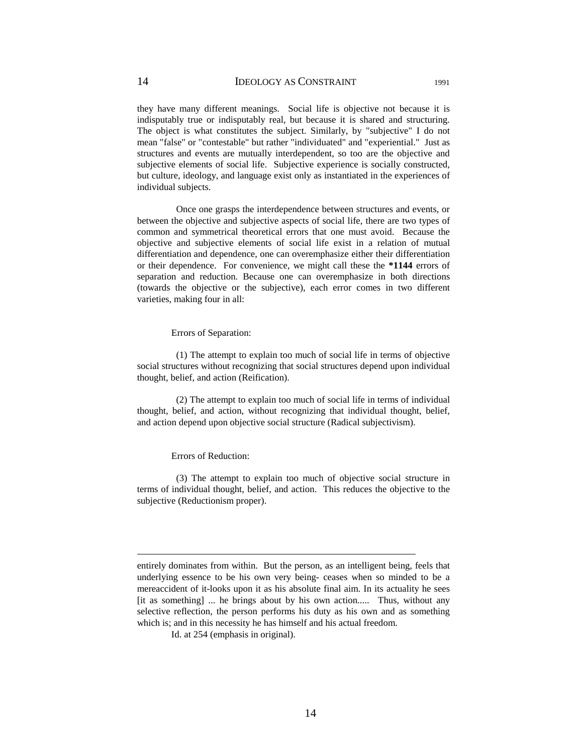they have many different meanings. Social life is objective not because it is indisputably true or indisputably real, but because it is shared and structuring. The object is what constitutes the subject. Similarly, by "subjective" I do not mean "false" or "contestable" but rather "individuated" and "experiential." Just as structures and events are mutually interdependent, so too are the objective and subjective elements of social life. Subjective experience is socially constructed, but culture, ideology, and language exist only as instantiated in the experiences of individual subjects.

 Once one grasps the interdependence between structures and events, or between the objective and subjective aspects of social life, there are two types of common and symmetrical theoretical errors that one must avoid. Because the objective and subjective elements of social life exist in a relation of mutual differentiation and dependence, one can overemphasize either their differentiation or their dependence. For convenience, we might call these the **\*1144** errors of separation and reduction. Because one can overemphasize in both directions (towards the objective or the subjective), each error comes in two different varieties, making four in all:

#### Errors of Separation:

 (1) The attempt to explain too much of social life in terms of objective social structures without recognizing that social structures depend upon individual thought, belief, and action (Reification).

 (2) The attempt to explain too much of social life in terms of individual thought, belief, and action, without recognizing that individual thought, belief, and action depend upon objective social structure (Radical subjectivism).

### Errors of Reduction:

 $\overline{a}$ 

 (3) The attempt to explain too much of objective social structure in terms of individual thought, belief, and action. This reduces the objective to the subjective (Reductionism proper).

entirely dominates from within. But the person, as an intelligent being, feels that underlying essence to be his own very being- ceases when so minded to be a mereaccident of it-looks upon it as his absolute final aim. In its actuality he sees [it as something] ... he brings about by his own action..... Thus, without any selective reflection, the person performs his duty as his own and as something which is; and in this necessity he has himself and his actual freedom.

Id. at 254 (emphasis in original).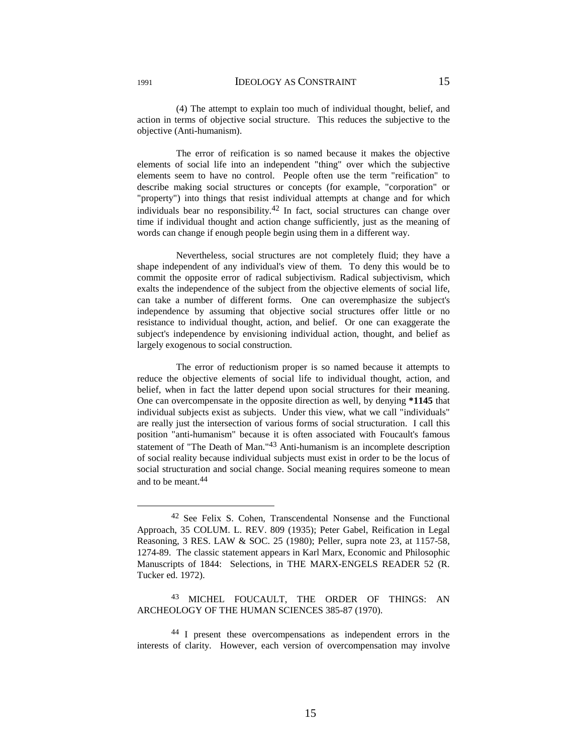(4) The attempt to explain too much of individual thought, belief, and action in terms of objective social structure. This reduces the subjective to the objective (Anti-humanism).

 The error of reification is so named because it makes the objective elements of social life into an independent "thing" over which the subjective elements seem to have no control. People often use the term "reification" to describe making social structures or concepts (for example, "corporation" or "property") into things that resist individual attempts at change and for which individuals bear no responsibility.<sup>42</sup> In fact, social structures can change over time if individual thought and action change sufficiently, just as the meaning of words can change if enough people begin using them in a different way.

 Nevertheless, social structures are not completely fluid; they have a shape independent of any individual's view of them. To deny this would be to commit the opposite error of radical subjectivism. Radical subjectivism, which exalts the independence of the subject from the objective elements of social life, can take a number of different forms. One can overemphasize the subject's independence by assuming that objective social structures offer little or no resistance to individual thought, action, and belief. Or one can exaggerate the subject's independence by envisioning individual action, thought, and belief as largely exogenous to social construction.

 The error of reductionism proper is so named because it attempts to reduce the objective elements of social life to individual thought, action, and belief, when in fact the latter depend upon social structures for their meaning. One can overcompensate in the opposite direction as well, by denying **\*1145** that individual subjects exist as subjects. Under this view, what we call "individuals" are really just the intersection of various forms of social structuration. I call this position "anti-humanism" because it is often associated with Foucault's famous statement of "The Death of Man."43 Anti-humanism is an incomplete description of social reality because individual subjects must exist in order to be the locus of social structuration and social change. Social meaning requires someone to mean and to be meant.44

 <sup>42</sup> See Felix S. Cohen, Transcendental Nonsense and the Functional Approach, 35 COLUM. L. REV. 809 (1935); Peter Gabel, Reification in Legal Reasoning, 3 RES. LAW & SOC. 25 (1980); Peller, supra note 23, at 1157-58, 1274-89. The classic statement appears in Karl Marx, Economic and Philosophic Manuscripts of 1844: Selections, in THE MARX-ENGELS READER 52 (R. Tucker ed. 1972).

<sup>43</sup> MICHEL FOUCAULT, THE ORDER OF THINGS: AN ARCHEOLOGY OF THE HUMAN SCIENCES 385-87 (1970).

<sup>44</sup> I present these overcompensations as independent errors in the interests of clarity. However, each version of overcompensation may involve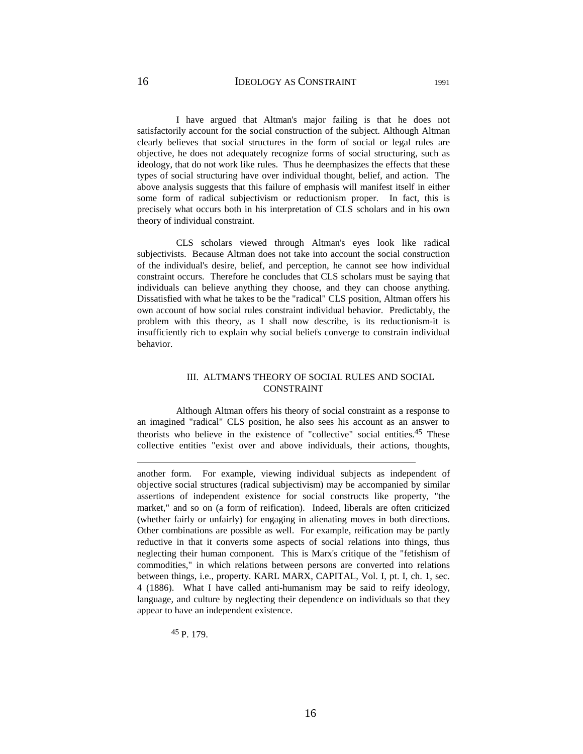I have argued that Altman's major failing is that he does not satisfactorily account for the social construction of the subject. Although Altman clearly believes that social structures in the form of social or legal rules are objective, he does not adequately recognize forms of social structuring, such as ideology, that do not work like rules. Thus he deemphasizes the effects that these types of social structuring have over individual thought, belief, and action. The above analysis suggests that this failure of emphasis will manifest itself in either some form of radical subjectivism or reductionism proper. In fact, this is precisely what occurs both in his interpretation of CLS scholars and in his own theory of individual constraint.

 CLS scholars viewed through Altman's eyes look like radical subjectivists. Because Altman does not take into account the social construction of the individual's desire, belief, and perception, he cannot see how individual constraint occurs. Therefore he concludes that CLS scholars must be saying that individuals can believe anything they choose, and they can choose anything. Dissatisfied with what he takes to be the "radical" CLS position, Altman offers his own account of how social rules constraint individual behavior. Predictably, the problem with this theory, as I shall now describe, is its reductionism-it is insufficiently rich to explain why social beliefs converge to constrain individual behavior.

# III. ALTMAN'S THEORY OF SOCIAL RULES AND SOCIAL CONSTRAINT

 Although Altman offers his theory of social constraint as a response to an imagined "radical" CLS position, he also sees his account as an answer to theorists who believe in the existence of "collective" social entities.45 These collective entities "exist over and above individuals, their actions, thoughts,

another form. For example, viewing individual subjects as independent of objective social structures (radical subjectivism) may be accompanied by similar assertions of independent existence for social constructs like property, "the market," and so on (a form of reification). Indeed, liberals are often criticized (whether fairly or unfairly) for engaging in alienating moves in both directions. Other combinations are possible as well. For example, reification may be partly reductive in that it converts some aspects of social relations into things, thus neglecting their human component. This is Marx's critique of the "fetishism of commodities," in which relations between persons are converted into relations between things, i.e., property. KARL MARX, CAPITAL, Vol. I, pt. I, ch. 1, sec. 4 (1886). What I have called anti-humanism may be said to reify ideology, language, and culture by neglecting their dependence on individuals so that they appear to have an independent existence.

45 P. 179.

 $\overline{a}$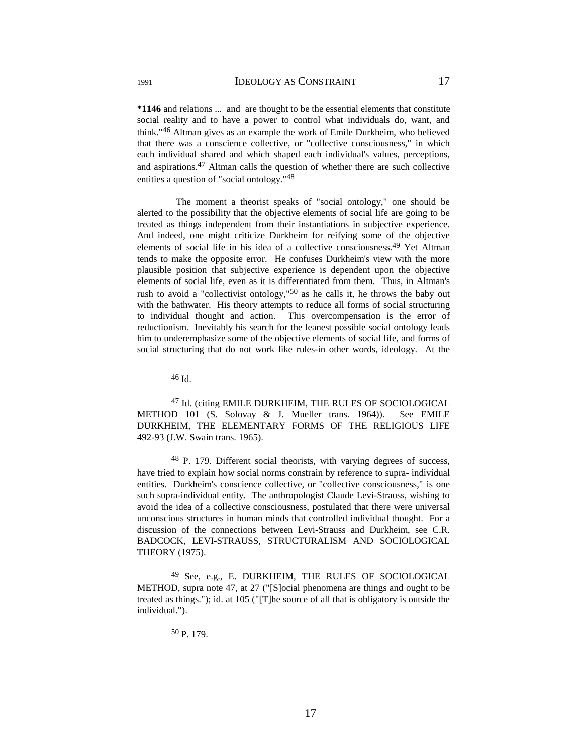**\*1146** and relations ... and are thought to be the essential elements that constitute social reality and to have a power to control what individuals do, want, and think."46 Altman gives as an example the work of Emile Durkheim, who believed that there was a conscience collective, or "collective consciousness," in which each individual shared and which shaped each individual's values, perceptions, and aspirations.47 Altman calls the question of whether there are such collective entities a question of "social ontology."48

 The moment a theorist speaks of "social ontology," one should be alerted to the possibility that the objective elements of social life are going to be treated as things independent from their instantiations in subjective experience. And indeed, one might criticize Durkheim for reifying some of the objective elements of social life in his idea of a collective consciousness.49 Yet Altman tends to make the opposite error. He confuses Durkheim's view with the more plausible position that subjective experience is dependent upon the objective elements of social life, even as it is differentiated from them. Thus, in Altman's rush to avoid a "collectivist ontology," $50$  as he calls it, he throws the baby out with the bathwater. His theory attempts to reduce all forms of social structuring to individual thought and action. This overcompensation is the error of reductionism. Inevitably his search for the leanest possible social ontology leads him to underemphasize some of the objective elements of social life, and forms of social structuring that do not work like rules-in other words, ideology. At the

47 Id. (citing EMILE DURKHEIM, THE RULES OF SOCIOLOGICAL METHOD 101 (S. Solovay & J. Mueller trans. 1964)). See EMILE DURKHEIM, THE ELEMENTARY FORMS OF THE RELIGIOUS LIFE 492-93 (J.W. Swain trans. 1965).

48 P. 179. Different social theorists, with varying degrees of success, have tried to explain how social norms constrain by reference to supra- individual entities. Durkheim's conscience collective, or "collective consciousness," is one such supra-individual entity. The anthropologist Claude Levi-Strauss, wishing to avoid the idea of a collective consciousness, postulated that there were universal unconscious structures in human minds that controlled individual thought. For a discussion of the connections between Levi-Strauss and Durkheim, see C.R. BADCOCK, LEVI-STRAUSS, STRUCTURALISM AND SOCIOLOGICAL THEORY (1975).

49 See, e.g., E. DURKHEIM, THE RULES OF SOCIOLOGICAL METHOD, supra note 47, at 27 ("[S]ocial phenomena are things and ought to be treated as things."); id. at 105 ("[T]he source of all that is obligatory is outside the individual.").

50 P. 179.

 <sup>46</sup> Id.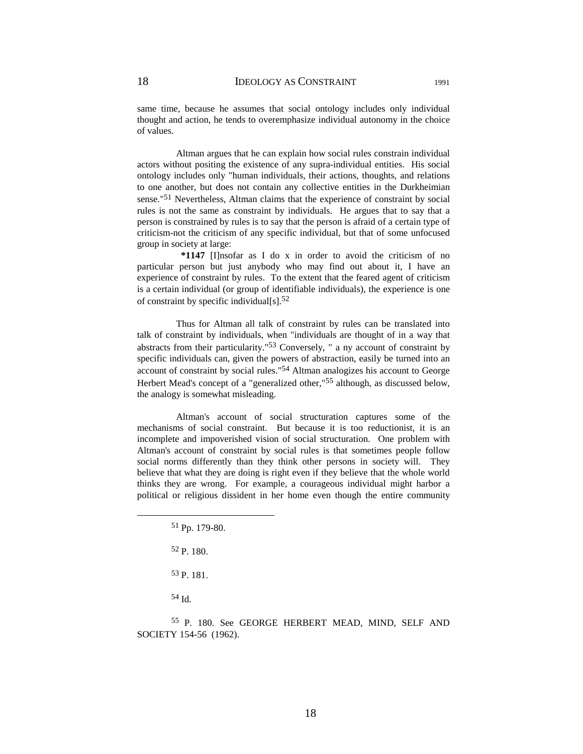same time, because he assumes that social ontology includes only individual thought and action, he tends to overemphasize individual autonomy in the choice of values.

 Altman argues that he can explain how social rules constrain individual actors without positing the existence of any supra-individual entities. His social ontology includes only "human individuals, their actions, thoughts, and relations to one another, but does not contain any collective entities in the Durkheimian sense."51 Nevertheless, Altman claims that the experience of constraint by social rules is not the same as constraint by individuals. He argues that to say that a person is constrained by rules is to say that the person is afraid of a certain type of criticism-not the criticism of any specific individual, but that of some unfocused group in society at large:

 **\*1147** [I]nsofar as I do x in order to avoid the criticism of no particular person but just anybody who may find out about it, I have an experience of constraint by rules. To the extent that the feared agent of criticism is a certain individual (or group of identifiable individuals), the experience is one of constraint by specific individual $[s]$ .<sup>52</sup>

 Thus for Altman all talk of constraint by rules can be translated into talk of constraint by individuals, when "individuals are thought of in a way that abstracts from their particularity."53 Conversely, " a ny account of constraint by specific individuals can, given the powers of abstraction, easily be turned into an account of constraint by social rules."54 Altman analogizes his account to George Herbert Mead's concept of a "generalized other,"55 although, as discussed below, the analogy is somewhat misleading.

 Altman's account of social structuration captures some of the mechanisms of social constraint. But because it is too reductionist, it is an incomplete and impoverished vision of social structuration. One problem with Altman's account of constraint by social rules is that sometimes people follow social norms differently than they think other persons in society will. They believe that what they are doing is right even if they believe that the whole world thinks they are wrong. For example, a courageous individual might harbor a political or religious dissident in her home even though the entire community

54 Id.

55 P. 180. See GEORGE HERBERT MEAD, MIND, SELF AND SOCIETY 154-56 (1962).

 <sup>51</sup> Pp. 179-80.

<sup>52</sup> P. 180.

<sup>53</sup> P. 181.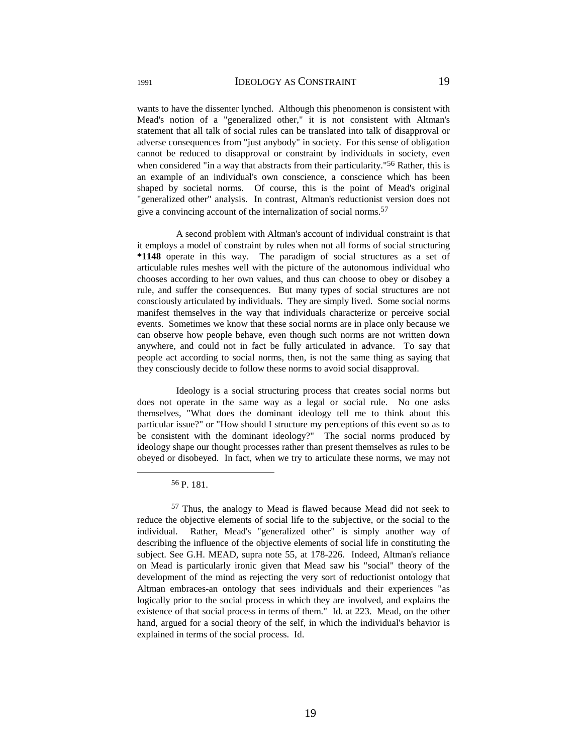wants to have the dissenter lynched. Although this phenomenon is consistent with Mead's notion of a "generalized other," it is not consistent with Altman's statement that all talk of social rules can be translated into talk of disapproval or adverse consequences from "just anybody" in society. For this sense of obligation cannot be reduced to disapproval or constraint by individuals in society, even when considered "in a way that abstracts from their particularity."<sup>56</sup> Rather, this is an example of an individual's own conscience, a conscience which has been shaped by societal norms. Of course, this is the point of Mead's original "generalized other" analysis. In contrast, Altman's reductionist version does not give a convincing account of the internalization of social norms.<sup>57</sup>

 A second problem with Altman's account of individual constraint is that it employs a model of constraint by rules when not all forms of social structuring **\*1148** operate in this way. The paradigm of social structures as a set of articulable rules meshes well with the picture of the autonomous individual who chooses according to her own values, and thus can choose to obey or disobey a rule, and suffer the consequences. But many types of social structures are not consciously articulated by individuals. They are simply lived. Some social norms manifest themselves in the way that individuals characterize or perceive social events. Sometimes we know that these social norms are in place only because we can observe how people behave, even though such norms are not written down anywhere, and could not in fact be fully articulated in advance. To say that people act according to social norms, then, is not the same thing as saying that they consciously decide to follow these norms to avoid social disapproval.

 Ideology is a social structuring process that creates social norms but does not operate in the same way as a legal or social rule. No one asks themselves, "What does the dominant ideology tell me to think about this particular issue?" or "How should I structure my perceptions of this event so as to be consistent with the dominant ideology?" The social norms produced by ideology shape our thought processes rather than present themselves as rules to be obeyed or disobeyed. In fact, when we try to articulate these norms, we may not

 <sup>56</sup> P. 181.

<sup>57</sup> Thus, the analogy to Mead is flawed because Mead did not seek to reduce the objective elements of social life to the subjective, or the social to the individual. Rather, Mead's "generalized other" is simply another way of describing the influence of the objective elements of social life in constituting the subject. See G.H. MEAD, supra note 55, at 178-226. Indeed, Altman's reliance on Mead is particularly ironic given that Mead saw his "social" theory of the development of the mind as rejecting the very sort of reductionist ontology that Altman embraces-an ontology that sees individuals and their experiences "as logically prior to the social process in which they are involved, and explains the existence of that social process in terms of them." Id. at 223. Mead, on the other hand, argued for a social theory of the self, in which the individual's behavior is explained in terms of the social process. Id.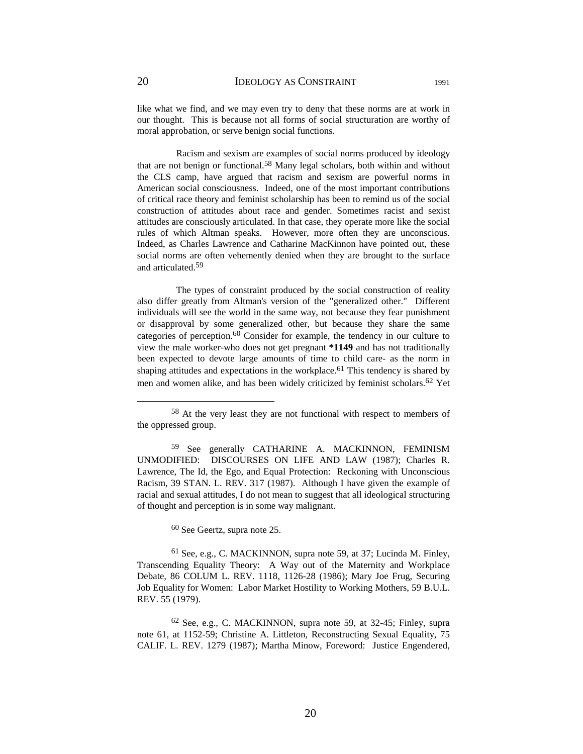like what we find, and we may even try to deny that these norms are at work in our thought. This is because not all forms of social structuration are worthy of moral approbation, or serve benign social functions.

 Racism and sexism are examples of social norms produced by ideology that are not benign or functional.<sup>58</sup> Many legal scholars, both within and without the CLS camp, have argued that racism and sexism are powerful norms in American social consciousness. Indeed, one of the most important contributions of critical race theory and feminist scholarship has been to remind us of the social construction of attitudes about race and gender. Sometimes racist and sexist attitudes are consciously articulated. In that case, they operate more like the social rules of which Altman speaks. However, more often they are unconscious. Indeed, as Charles Lawrence and Catharine MacKinnon have pointed out, these social norms are often vehemently denied when they are brought to the surface and articulated.59

 The types of constraint produced by the social construction of reality also differ greatly from Altman's version of the "generalized other." Different individuals will see the world in the same way, not because they fear punishment or disapproval by some generalized other, but because they share the same categories of perception.60 Consider for example, the tendency in our culture to view the male worker-who does not get pregnant **\*1149** and has not traditionally been expected to devote large amounts of time to child care- as the norm in shaping attitudes and expectations in the workplace.<sup>61</sup> This tendency is shared by men and women alike, and has been widely criticized by feminist scholars.62 Yet

60 See Geertz, supra note 25.

61 See, e.g., C. MACKINNON, supra note 59, at 37; Lucinda M. Finley, Transcending Equality Theory: A Way out of the Maternity and Workplace Debate, 86 COLUM L. REV. 1118, 1126-28 (1986); Mary Joe Frug, Securing Job Equality for Women: Labor Market Hostility to Working Mothers, 59 B.U.L. REV. 55 (1979).

62 See, e.g., C. MACKINNON, supra note 59, at 32-45; Finley, supra note 61, at 1152-59; Christine A. Littleton, Reconstructing Sexual Equality, 75 CALIF. L. REV. 1279 (1987); Martha Minow, Foreword: Justice Engendered,

 <sup>58</sup> At the very least they are not functional with respect to members of the oppressed group.

<sup>59</sup> See generally CATHARINE A. MACKINNON, FEMINISM UNMODIFIED: DISCOURSES ON LIFE AND LAW (1987); Charles R. Lawrence, The Id, the Ego, and Equal Protection: Reckoning with Unconscious Racism, 39 STAN. L. REV. 317 (1987). Although I have given the example of racial and sexual attitudes, I do not mean to suggest that all ideological structuring of thought and perception is in some way malignant.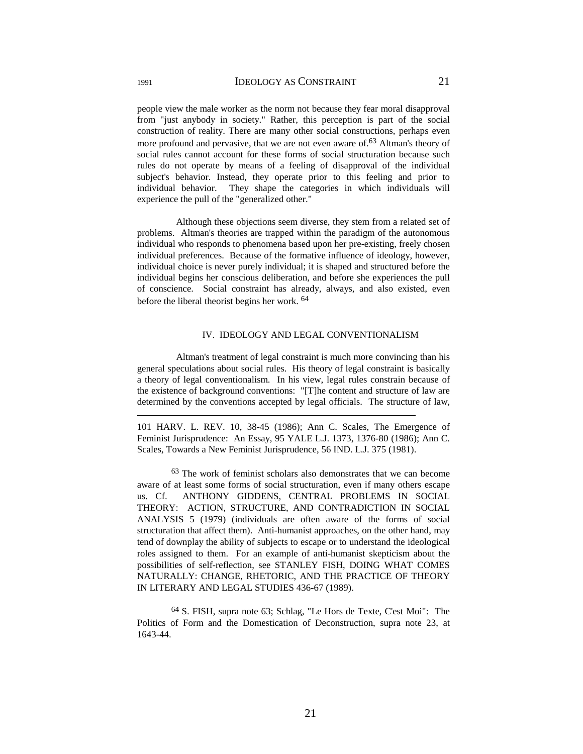people view the male worker as the norm not because they fear moral disapproval from "just anybody in society." Rather, this perception is part of the social construction of reality. There are many other social constructions, perhaps even more profound and pervasive, that we are not even aware of <sup>63</sup> Altman's theory of social rules cannot account for these forms of social structuration because such rules do not operate by means of a feeling of disapproval of the individual subject's behavior. Instead, they operate prior to this feeling and prior to individual behavior. They shape the categories in which individuals will experience the pull of the "generalized other."

 Although these objections seem diverse, they stem from a related set of problems. Altman's theories are trapped within the paradigm of the autonomous individual who responds to phenomena based upon her pre-existing, freely chosen individual preferences. Because of the formative influence of ideology, however, individual choice is never purely individual; it is shaped and structured before the individual begins her conscious deliberation, and before she experiences the pull of conscience. Social constraint has already, always, and also existed, even before the liberal theorist begins her work. 64

### IV. IDEOLOGY AND LEGAL CONVENTIONALISM

 Altman's treatment of legal constraint is much more convincing than his general speculations about social rules. His theory of legal constraint is basically a theory of legal conventionalism. In his view, legal rules constrain because of the existence of background conventions: "[T]he content and structure of law are determined by the conventions accepted by legal officials. The structure of law,

101 HARV. L. REV. 10, 38-45 (1986); Ann C. Scales, The Emergence of Feminist Jurisprudence: An Essay, 95 YALE L.J. 1373, 1376-80 (1986); Ann C. Scales, Towards a New Feminist Jurisprudence, 56 IND. L.J. 375 (1981).

63 The work of feminist scholars also demonstrates that we can become aware of at least some forms of social structuration, even if many others escape us. Cf. ANTHONY GIDDENS, CENTRAL PROBLEMS IN SOCIAL THEORY: ACTION, STRUCTURE, AND CONTRADICTION IN SOCIAL ANALYSIS 5 (1979) (individuals are often aware of the forms of social structuration that affect them). Anti-humanist approaches, on the other hand, may tend of downplay the ability of subjects to escape or to understand the ideological roles assigned to them. For an example of anti-humanist skepticism about the possibilities of self-reflection, see STANLEY FISH, DOING WHAT COMES NATURALLY: CHANGE, RHETORIC, AND THE PRACTICE OF THEORY IN LITERARY AND LEGAL STUDIES 436-67 (1989).

64 S. FISH, supra note 63; Schlag, "Le Hors de Texte, C'est Moi": The Politics of Form and the Domestication of Deconstruction, supra note 23, at 1643-44.

 $\overline{a}$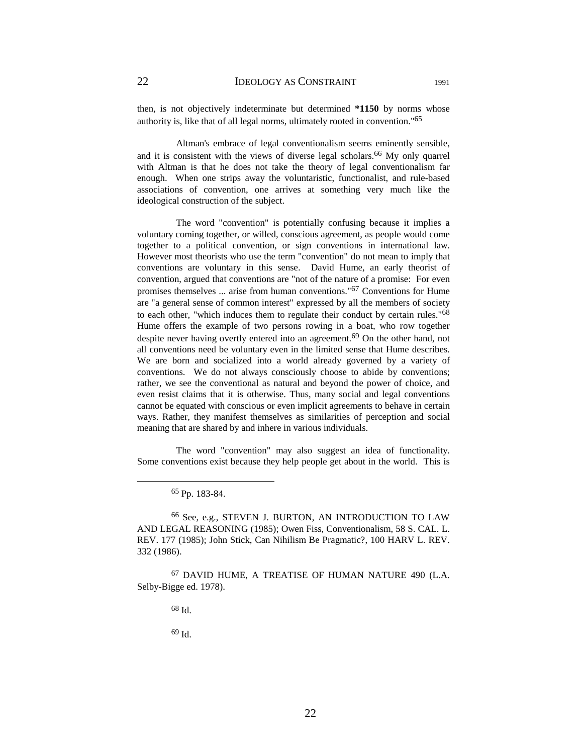then, is not objectively indeterminate but determined **\*1150** by norms whose authority is, like that of all legal norms, ultimately rooted in convention."65

 Altman's embrace of legal conventionalism seems eminently sensible, and it is consistent with the views of diverse legal scholars.<sup>66</sup> My only quarrel with Altman is that he does not take the theory of legal conventionalism far enough. When one strips away the voluntaristic, functionalist, and rule-based associations of convention, one arrives at something very much like the ideological construction of the subject.

 The word "convention" is potentially confusing because it implies a voluntary coming together, or willed, conscious agreement, as people would come together to a political convention, or sign conventions in international law. However most theorists who use the term "convention" do not mean to imply that conventions are voluntary in this sense. David Hume, an early theorist of convention, argued that conventions are "not of the nature of a promise: For even promises themselves ... arise from human conventions."67 Conventions for Hume are "a general sense of common interest" expressed by all the members of society to each other, "which induces them to regulate their conduct by certain rules."68 Hume offers the example of two persons rowing in a boat, who row together despite never having overtly entered into an agreement.<sup>69</sup> On the other hand, not all conventions need be voluntary even in the limited sense that Hume describes. We are born and socialized into a world already governed by a variety of conventions. We do not always consciously choose to abide by conventions; rather, we see the conventional as natural and beyond the power of choice, and even resist claims that it is otherwise. Thus, many social and legal conventions cannot be equated with conscious or even implicit agreements to behave in certain ways. Rather, they manifest themselves as similarities of perception and social meaning that are shared by and inhere in various individuals.

 The word "convention" may also suggest an idea of functionality. Some conventions exist because they help people get about in the world. This is

65 Pp. 183-84.

66 See, e.g., STEVEN J. BURTON, AN INTRODUCTION TO LAW AND LEGAL REASONING (1985); Owen Fiss, Conventionalism, 58 S. CAL. L. REV. 177 (1985); John Stick, Can Nihilism Be Pragmatic?, 100 HARV L. REV. 332 (1986).

67 DAVID HUME, A TREATISE OF HUMAN NATURE 490 (L.A. Selby-Bigge ed. 1978).

68 Id.

69 Id.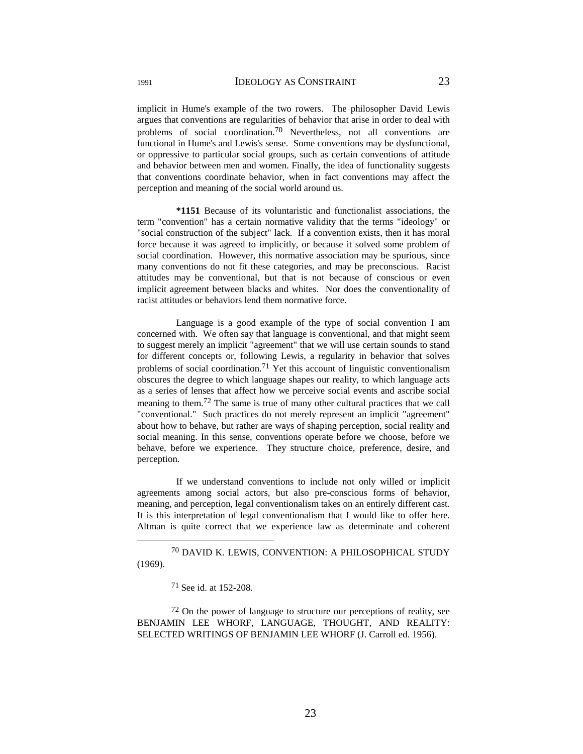implicit in Hume's example of the two rowers. The philosopher David Lewis argues that conventions are regularities of behavior that arise in order to deal with problems of social coordination.<sup>70</sup> Nevertheless, not all conventions are functional in Hume's and Lewis's sense. Some conventions may be dysfunctional, or oppressive to particular social groups, such as certain conventions of attitude and behavior between men and women. Finally, the idea of functionality suggests that conventions coordinate behavior, when in fact conventions may affect the perception and meaning of the social world around us.

 **\*1151** Because of its voluntaristic and functionalist associations, the term "convention" has a certain normative validity that the terms "ideology" or "social construction of the subject" lack. If a convention exists, then it has moral force because it was agreed to implicitly, or because it solved some problem of social coordination. However, this normative association may be spurious, since many conventions do not fit these categories, and may be preconscious. Racist attitudes may be conventional, but that is not because of conscious or even implicit agreement between blacks and whites. Nor does the conventionality of racist attitudes or behaviors lend them normative force.

 Language is a good example of the type of social convention I am concerned with. We often say that language is conventional, and that might seem to suggest merely an implicit "agreement" that we will use certain sounds to stand for different concepts or, following Lewis, a regularity in behavior that solves problems of social coordination.<sup>71</sup> Yet this account of linguistic conventionalism obscures the degree to which language shapes our reality, to which language acts as a series of lenses that affect how we perceive social events and ascribe social meaning to them.72 The same is true of many other cultural practices that we call "conventional." Such practices do not merely represent an implicit "agreement" about how to behave, but rather are ways of shaping perception, social reality and social meaning. In this sense, conventions operate before we choose, before we behave, before we experience. They structure choice, preference, desire, and perception.

 If we understand conventions to include not only willed or implicit agreements among social actors, but also pre-conscious forms of behavior, meaning, and perception, legal conventionalism takes on an entirely different cast. It is this interpretation of legal conventionalism that I would like to offer here. Altman is quite correct that we experience law as determinate and coherent

 70 DAVID K. LEWIS, CONVENTION: A PHILOSOPHICAL STUDY (1969).

71 See id. at 152-208.

72 On the power of language to structure our perceptions of reality, see BENJAMIN LEE WHORF, LANGUAGE, THOUGHT, AND REALITY: SELECTED WRITINGS OF BENJAMIN LEE WHORF (J. Carroll ed. 1956).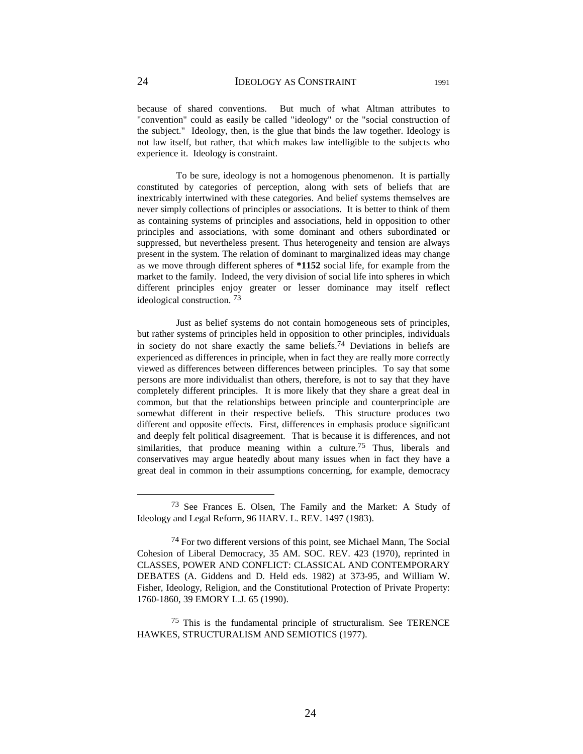because of shared conventions. But much of what Altman attributes to "convention" could as easily be called "ideology" or the "social construction of the subject." Ideology, then, is the glue that binds the law together. Ideology is not law itself, but rather, that which makes law intelligible to the subjects who experience it. Ideology is constraint.

 To be sure, ideology is not a homogenous phenomenon. It is partially constituted by categories of perception, along with sets of beliefs that are inextricably intertwined with these categories. And belief systems themselves are never simply collections of principles or associations. It is better to think of them as containing systems of principles and associations, held in opposition to other principles and associations, with some dominant and others subordinated or suppressed, but nevertheless present. Thus heterogeneity and tension are always present in the system. The relation of dominant to marginalized ideas may change as we move through different spheres of **\*1152** social life, for example from the market to the family. Indeed, the very division of social life into spheres in which different principles enjoy greater or lesser dominance may itself reflect ideological construction. 73

 Just as belief systems do not contain homogeneous sets of principles, but rather systems of principles held in opposition to other principles, individuals in society do not share exactly the same beliefs.<sup>74</sup> Deviations in beliefs are experienced as differences in principle, when in fact they are really more correctly viewed as differences between differences between principles. To say that some persons are more individualist than others, therefore, is not to say that they have completely different principles. It is more likely that they share a great deal in common, but that the relationships between principle and counterprinciple are somewhat different in their respective beliefs. This structure produces two different and opposite effects. First, differences in emphasis produce significant and deeply felt political disagreement. That is because it is differences, and not similarities, that produce meaning within a culture.<sup>75</sup> Thus, liberals and conservatives may argue heatedly about many issues when in fact they have a great deal in common in their assumptions concerning, for example, democracy

75 This is the fundamental principle of structuralism. See TERENCE HAWKES, STRUCTURALISM AND SEMIOTICS (1977).

 <sup>73</sup> See Frances E. Olsen, The Family and the Market: A Study of Ideology and Legal Reform, 96 HARV. L. REV. 1497 (1983).

<sup>74</sup> For two different versions of this point, see Michael Mann, The Social Cohesion of Liberal Democracy, 35 AM. SOC. REV. 423 (1970), reprinted in CLASSES, POWER AND CONFLICT: CLASSICAL AND CONTEMPORARY DEBATES (A. Giddens and D. Held eds. 1982) at 373-95, and William W. Fisher, Ideology, Religion, and the Constitutional Protection of Private Property: 1760-1860, 39 EMORY L.J. 65 (1990).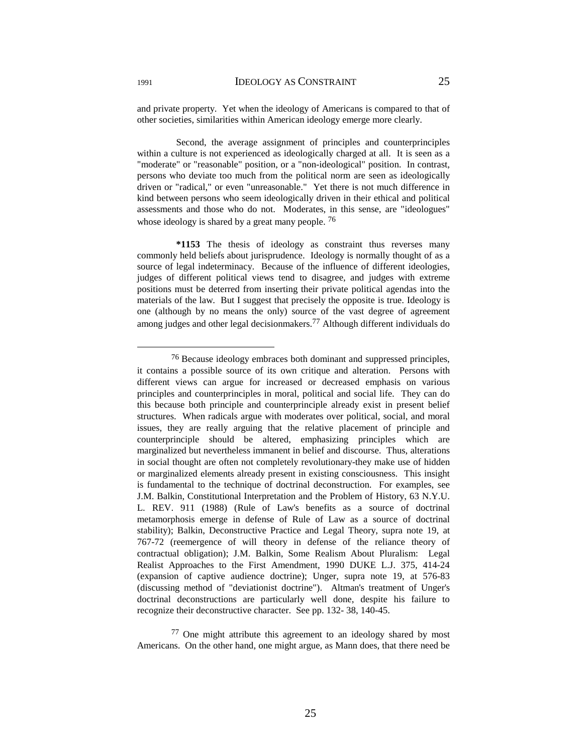and private property. Yet when the ideology of Americans is compared to that of other societies, similarities within American ideology emerge more clearly.

 Second, the average assignment of principles and counterprinciples within a culture is not experienced as ideologically charged at all. It is seen as a "moderate" or "reasonable" position, or a "non-ideological" position. In contrast, persons who deviate too much from the political norm are seen as ideologically driven or "radical," or even "unreasonable." Yet there is not much difference in kind between persons who seem ideologically driven in their ethical and political assessments and those who do not. Moderates, in this sense, are "ideologues" whose ideology is shared by a great many people. <sup>76</sup>

 **\*1153** The thesis of ideology as constraint thus reverses many commonly held beliefs about jurisprudence. Ideology is normally thought of as a source of legal indeterminacy. Because of the influence of different ideologies, judges of different political views tend to disagree, and judges with extreme positions must be deterred from inserting their private political agendas into the materials of the law. But I suggest that precisely the opposite is true. Ideology is one (although by no means the only) source of the vast degree of agreement among judges and other legal decisionmakers.77 Although different individuals do

 <sup>76</sup> Because ideology embraces both dominant and suppressed principles, it contains a possible source of its own critique and alteration. Persons with different views can argue for increased or decreased emphasis on various principles and counterprinciples in moral, political and social life. They can do this because both principle and counterprinciple already exist in present belief structures. When radicals argue with moderates over political, social, and moral issues, they are really arguing that the relative placement of principle and counterprinciple should be altered, emphasizing principles which are marginalized but nevertheless immanent in belief and discourse. Thus, alterations in social thought are often not completely revolutionary-they make use of hidden or marginalized elements already present in existing consciousness. This insight is fundamental to the technique of doctrinal deconstruction. For examples, see J.M. Balkin, Constitutional Interpretation and the Problem of History, 63 N.Y.U. L. REV. 911 (1988) (Rule of Law's benefits as a source of doctrinal metamorphosis emerge in defense of Rule of Law as a source of doctrinal stability); Balkin, Deconstructive Practice and Legal Theory, supra note 19, at 767-72 (reemergence of will theory in defense of the reliance theory of contractual obligation); J.M. Balkin, Some Realism About Pluralism: Legal Realist Approaches to the First Amendment, 1990 DUKE L.J. 375, 414-24 (expansion of captive audience doctrine); Unger, supra note 19, at 576-83 (discussing method of "deviationist doctrine"). Altman's treatment of Unger's doctrinal deconstructions are particularly well done, despite his failure to recognize their deconstructive character. See pp. 132- 38, 140-45.

<sup>77</sup> One might attribute this agreement to an ideology shared by most Americans. On the other hand, one might argue, as Mann does, that there need be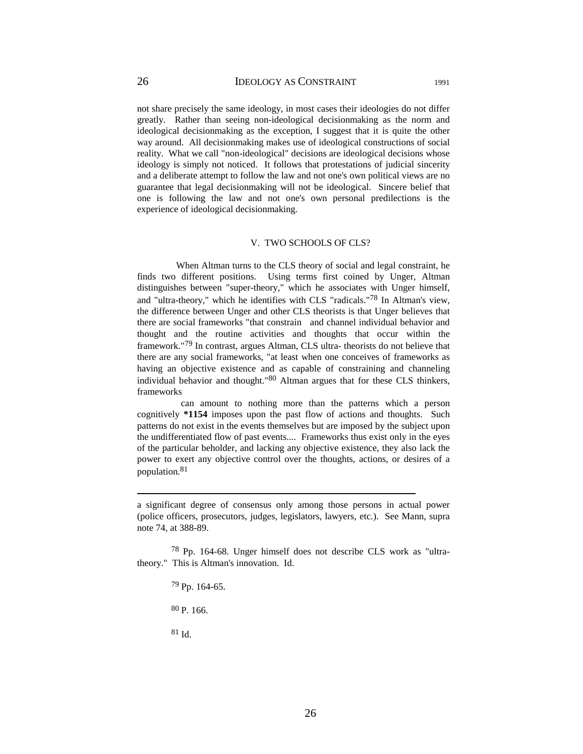not share precisely the same ideology, in most cases their ideologies do not differ greatly. Rather than seeing non-ideological decisionmaking as the norm and ideological decisionmaking as the exception, I suggest that it is quite the other way around. All decisionmaking makes use of ideological constructions of social reality. What we call "non-ideological" decisions are ideological decisions whose ideology is simply not noticed. It follows that protestations of judicial sincerity and a deliberate attempt to follow the law and not one's own political views are no guarantee that legal decisionmaking will not be ideological. Sincere belief that one is following the law and not one's own personal predilections is the experience of ideological decisionmaking.

#### V. TWO SCHOOLS OF CLS?

 When Altman turns to the CLS theory of social and legal constraint, he finds two different positions. Using terms first coined by Unger, Altman distinguishes between "super-theory," which he associates with Unger himself, and "ultra-theory," which he identifies with CLS "radicals."78 In Altman's view, the difference between Unger and other CLS theorists is that Unger believes that there are social frameworks "that constrain and channel individual behavior and thought and the routine activities and thoughts that occur within the framework."79 In contrast, argues Altman, CLS ultra- theorists do not believe that there are any social frameworks, "at least when one conceives of frameworks as having an objective existence and as capable of constraining and channeling individual behavior and thought."80 Altman argues that for these CLS thinkers, frameworks

 can amount to nothing more than the patterns which a person cognitively **\*1154** imposes upon the past flow of actions and thoughts. Such patterns do not exist in the events themselves but are imposed by the subject upon the undifferentiated flow of past events.... Frameworks thus exist only in the eyes of the particular beholder, and lacking any objective existence, they also lack the power to exert any objective control over the thoughts, actions, or desires of a population.81

78 Pp. 164-68. Unger himself does not describe CLS work as "ultratheory." This is Altman's innovation. Id.

79 Pp. 164-65.

80 P. 166.

81 Id.

 $\overline{a}$ 

a significant degree of consensus only among those persons in actual power (police officers, prosecutors, judges, legislators, lawyers, etc.). See Mann, supra note 74, at 388-89.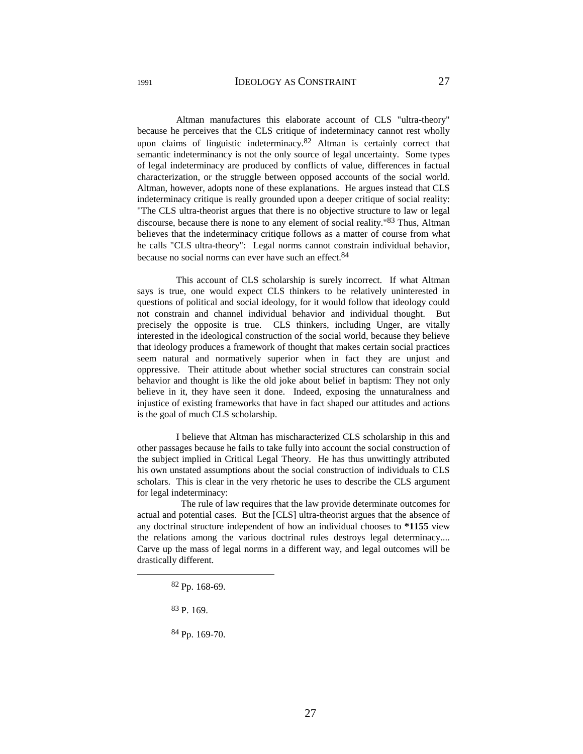Altman manufactures this elaborate account of CLS "ultra-theory" because he perceives that the CLS critique of indeterminacy cannot rest wholly upon claims of linguistic indeterminacy.<sup>82</sup> Altman is certainly correct that semantic indeterminancy is not the only source of legal uncertainty. Some types of legal indeterminacy are produced by conflicts of value, differences in factual characterization, or the struggle between opposed accounts of the social world. Altman, however, adopts none of these explanations. He argues instead that CLS indeterminacy critique is really grounded upon a deeper critique of social reality: "The CLS ultra-theorist argues that there is no objective structure to law or legal discourse, because there is none to any element of social reality."83 Thus, Altman believes that the indeterminacy critique follows as a matter of course from what he calls "CLS ultra-theory": Legal norms cannot constrain individual behavior, because no social norms can ever have such an effect.<sup>84</sup>

 This account of CLS scholarship is surely incorrect. If what Altman says is true, one would expect CLS thinkers to be relatively uninterested in questions of political and social ideology, for it would follow that ideology could not constrain and channel individual behavior and individual thought. But precisely the opposite is true. CLS thinkers, including Unger, are vitally interested in the ideological construction of the social world, because they believe that ideology produces a framework of thought that makes certain social practices seem natural and normatively superior when in fact they are unjust and oppressive. Their attitude about whether social structures can constrain social behavior and thought is like the old joke about belief in baptism: They not only believe in it, they have seen it done. Indeed, exposing the unnaturalness and injustice of existing frameworks that have in fact shaped our attitudes and actions is the goal of much CLS scholarship.

 I believe that Altman has mischaracterized CLS scholarship in this and other passages because he fails to take fully into account the social construction of the subject implied in Critical Legal Theory. He has thus unwittingly attributed his own unstated assumptions about the social construction of individuals to CLS scholars. This is clear in the very rhetoric he uses to describe the CLS argument for legal indeterminacy:

 The rule of law requires that the law provide determinate outcomes for actual and potential cases. But the [CLS] ultra-theorist argues that the absence of any doctrinal structure independent of how an individual chooses to **\*1155** view the relations among the various doctrinal rules destroys legal determinacy.... Carve up the mass of legal norms in a different way, and legal outcomes will be drastically different.

 <sup>82</sup> Pp. 168-69.

<sup>83</sup> P. 169.

<sup>84</sup> Pp. 169-70.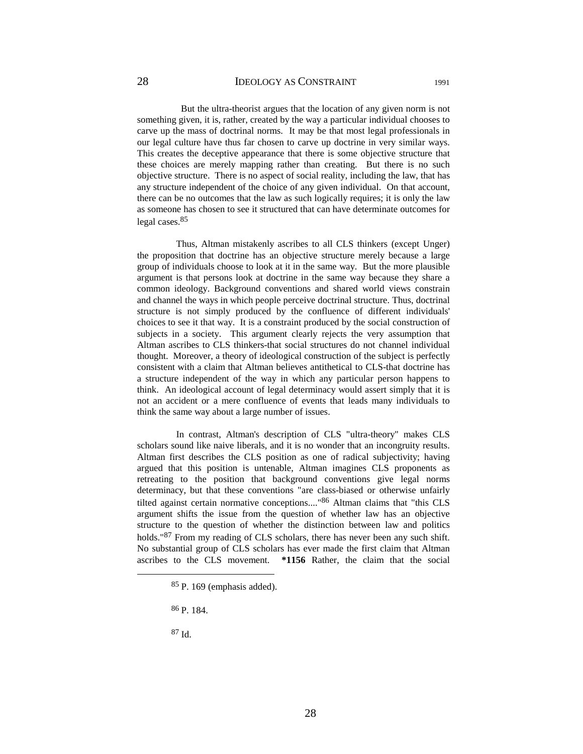But the ultra-theorist argues that the location of any given norm is not something given, it is, rather, created by the way a particular individual chooses to carve up the mass of doctrinal norms. It may be that most legal professionals in

our legal culture have thus far chosen to carve up doctrine in very similar ways. This creates the deceptive appearance that there is some objective structure that these choices are merely mapping rather than creating. But there is no such objective structure. There is no aspect of social reality, including the law, that has any structure independent of the choice of any given individual. On that account, there can be no outcomes that the law as such logically requires; it is only the law as someone has chosen to see it structured that can have determinate outcomes for legal cases.85

 Thus, Altman mistakenly ascribes to all CLS thinkers (except Unger) the proposition that doctrine has an objective structure merely because a large group of individuals choose to look at it in the same way. But the more plausible argument is that persons look at doctrine in the same way because they share a common ideology. Background conventions and shared world views constrain and channel the ways in which people perceive doctrinal structure. Thus, doctrinal structure is not simply produced by the confluence of different individuals' choices to see it that way. It is a constraint produced by the social construction of subjects in a society. This argument clearly rejects the very assumption that Altman ascribes to CLS thinkers-that social structures do not channel individual thought. Moreover, a theory of ideological construction of the subject is perfectly consistent with a claim that Altman believes antithetical to CLS-that doctrine has a structure independent of the way in which any particular person happens to think. An ideological account of legal determinacy would assert simply that it is not an accident or a mere confluence of events that leads many individuals to think the same way about a large number of issues.

 In contrast, Altman's description of CLS "ultra-theory" makes CLS scholars sound like naive liberals, and it is no wonder that an incongruity results. Altman first describes the CLS position as one of radical subjectivity; having argued that this position is untenable, Altman imagines CLS proponents as retreating to the position that background conventions give legal norms determinacy, but that these conventions "are class-biased or otherwise unfairly tilted against certain normative conceptions...."86 Altman claims that "this CLS argument shifts the issue from the question of whether law has an objective structure to the question of whether the distinction between law and politics holds."<sup>87</sup> From my reading of CLS scholars, there has never been any such shift. No substantial group of CLS scholars has ever made the first claim that Altman ascribes to the CLS movement. **\*1156** Rather, the claim that the social

87 Id.

 <sup>85</sup> P. 169 (emphasis added).

<sup>86</sup> P. 184.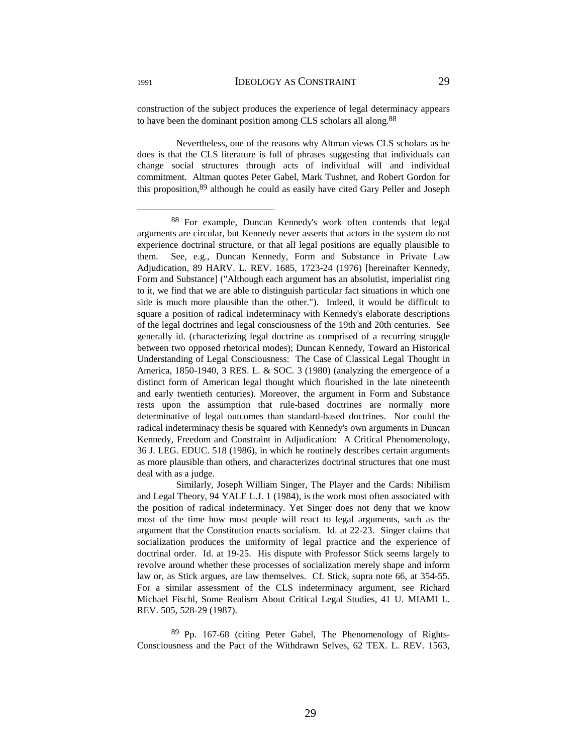construction of the subject produces the experience of legal determinacy appears to have been the dominant position among CLS scholars all along.88

 Nevertheless, one of the reasons why Altman views CLS scholars as he does is that the CLS literature is full of phrases suggesting that individuals can change social structures through acts of individual will and individual commitment. Altman quotes Peter Gabel, Mark Tushnet, and Robert Gordon for this proposition,89 although he could as easily have cited Gary Peller and Joseph

89 Pp. 167-68 (citing Peter Gabel, The Phenomenology of Rights-Consciousness and the Pact of the Withdrawn Selves, 62 TEX. L. REV. 1563,

 <sup>88</sup> For example, Duncan Kennedy's work often contends that legal arguments are circular, but Kennedy never asserts that actors in the system do not experience doctrinal structure, or that all legal positions are equally plausible to them. See, e.g., Duncan Kennedy, Form and Substance in Private Law Adjudication, 89 HARV. L. REV. 1685, 1723-24 (1976) [hereinafter Kennedy, Form and Substance] ("Although each argument has an absolutist, imperialist ring to it, we find that we are able to distinguish particular fact situations in which one side is much more plausible than the other."). Indeed, it would be difficult to square a position of radical indeterminacy with Kennedy's elaborate descriptions of the legal doctrines and legal consciousness of the 19th and 20th centuries. See generally id. (characterizing legal doctrine as comprised of a recurring struggle between two opposed rhetorical modes); Duncan Kennedy, Toward an Historical Understanding of Legal Consciousness: The Case of Classical Legal Thought in America, 1850-1940, 3 RES. L. & SOC. 3 (1980) (analyzing the emergence of a distinct form of American legal thought which flourished in the late nineteenth and early twentieth centuries). Moreover, the argument in Form and Substance rests upon the assumption that rule-based doctrines are normally more determinative of legal outcomes than standard-based doctrines. Nor could the radical indeterminacy thesis be squared with Kennedy's own arguments in Duncan Kennedy, Freedom and Constraint in Adjudication: A Critical Phenomenology, 36 J. LEG. EDUC. 518 (1986), in which he routinely describes certain arguments as more plausible than others, and characterizes doctrinal structures that one must deal with as a judge.

Similarly, Joseph William Singer, The Player and the Cards: Nihilism and Legal Theory, 94 YALE L.J. 1 (1984), is the work most often associated with the position of radical indeterminacy. Yet Singer does not deny that we know most of the time how most people will react to legal arguments, such as the argument that the Constitution enacts socialism. Id. at 22-23. Singer claims that socialization produces the uniformity of legal practice and the experience of doctrinal order. Id. at 19-25. His dispute with Professor Stick seems largely to revolve around whether these processes of socialization merely shape and inform law or, as Stick argues, are law themselves. Cf. Stick, supra note 66, at 354-55. For a similar assessment of the CLS indeterminacy argument, see Richard Michael Fischl, Some Realism About Critical Legal Studies, 41 U. MIAMI L. REV. 505, 528-29 (1987).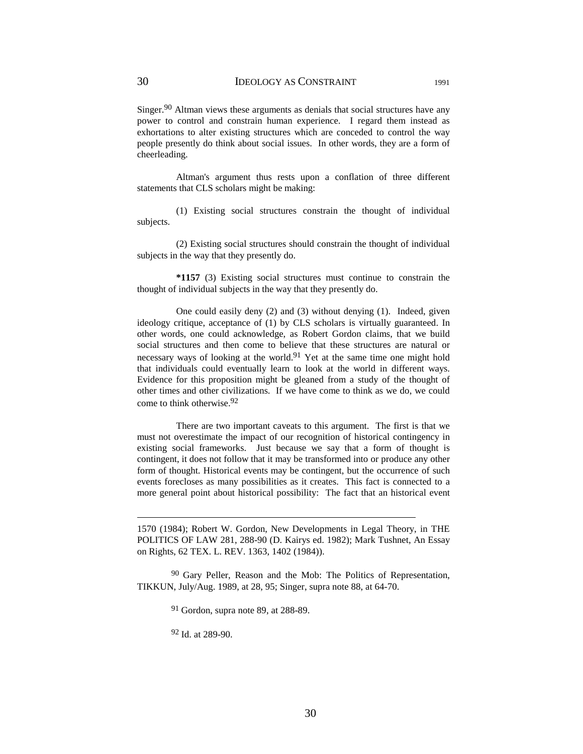Singer.<sup>90</sup> Altman views these arguments as denials that social structures have any power to control and constrain human experience. I regard them instead as exhortations to alter existing structures which are conceded to control the way people presently do think about social issues. In other words, they are a form of cheerleading.

 Altman's argument thus rests upon a conflation of three different statements that CLS scholars might be making:

 (1) Existing social structures constrain the thought of individual subjects.

 (2) Existing social structures should constrain the thought of individual subjects in the way that they presently do.

 **\*1157** (3) Existing social structures must continue to constrain the thought of individual subjects in the way that they presently do.

 One could easily deny (2) and (3) without denying (1). Indeed, given ideology critique, acceptance of (1) by CLS scholars is virtually guaranteed. In other words, one could acknowledge, as Robert Gordon claims, that we build social structures and then come to believe that these structures are natural or necessary ways of looking at the world.<sup>91</sup> Yet at the same time one might hold that individuals could eventually learn to look at the world in different ways. Evidence for this proposition might be gleaned from a study of the thought of other times and other civilizations. If we have come to think as we do, we could come to think otherwise.92

 There are two important caveats to this argument. The first is that we must not overestimate the impact of our recognition of historical contingency in existing social frameworks. Just because we say that a form of thought is contingent, it does not follow that it may be transformed into or produce any other form of thought. Historical events may be contingent, but the occurrence of such events forecloses as many possibilities as it creates. This fact is connected to a more general point about historical possibility: The fact that an historical event

1570 (1984); Robert W. Gordon, New Developments in Legal Theory, in THE POLITICS OF LAW 281, 288-90 (D. Kairys ed. 1982); Mark Tushnet, An Essay on Rights, 62 TEX. L. REV. 1363, 1402 (1984)).

<sup>90</sup> Gary Peller, Reason and the Mob: The Politics of Representation, TIKKUN, July/Aug. 1989, at 28, 95; Singer, supra note 88, at 64-70.

91 Gordon, supra note 89, at 288-89.

92 Id. at 289-90.

 $\overline{a}$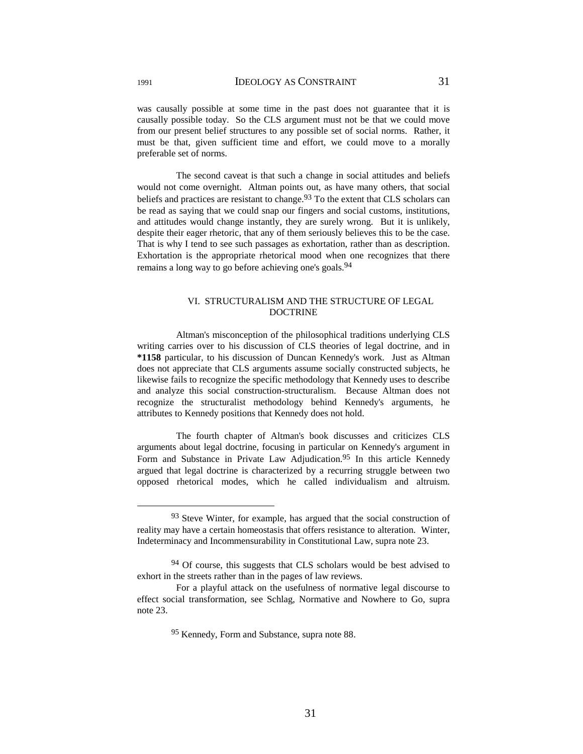was causally possible at some time in the past does not guarantee that it is causally possible today. So the CLS argument must not be that we could move from our present belief structures to any possible set of social norms. Rather, it must be that, given sufficient time and effort, we could move to a morally preferable set of norms.

 The second caveat is that such a change in social attitudes and beliefs would not come overnight. Altman points out, as have many others, that social beliefs and practices are resistant to change.<sup>93</sup> To the extent that CLS scholars can be read as saying that we could snap our fingers and social customs, institutions, and attitudes would change instantly, they are surely wrong. But it is unlikely, despite their eager rhetoric, that any of them seriously believes this to be the case. That is why I tend to see such passages as exhortation, rather than as description. Exhortation is the appropriate rhetorical mood when one recognizes that there remains a long way to go before achieving one's goals.<sup>94</sup>

### VI. STRUCTURALISM AND THE STRUCTURE OF LEGAL DOCTRINE

 Altman's misconception of the philosophical traditions underlying CLS writing carries over to his discussion of CLS theories of legal doctrine, and in **\*1158** particular, to his discussion of Duncan Kennedy's work. Just as Altman does not appreciate that CLS arguments assume socially constructed subjects, he likewise fails to recognize the specific methodology that Kennedy uses to describe and analyze this social construction-structuralism. Because Altman does not recognize the structuralist methodology behind Kennedy's arguments, he attributes to Kennedy positions that Kennedy does not hold.

 The fourth chapter of Altman's book discusses and criticizes CLS arguments about legal doctrine, focusing in particular on Kennedy's argument in Form and Substance in Private Law Adjudication.<sup>95</sup> In this article Kennedy argued that legal doctrine is characterized by a recurring struggle between two opposed rhetorical modes, which he called individualism and altruism.

<sup>&</sup>lt;sup>93</sup> Steve Winter, for example, has argued that the social construction of reality may have a certain homeostasis that offers resistance to alteration. Winter, Indeterminacy and Incommensurability in Constitutional Law, supra note 23.

<sup>&</sup>lt;sup>94</sup> Of course, this suggests that CLS scholars would be best advised to exhort in the streets rather than in the pages of law reviews.

For a playful attack on the usefulness of normative legal discourse to effect social transformation, see Schlag, Normative and Nowhere to Go, supra note 23.

<sup>95</sup> Kennedy, Form and Substance, supra note 88.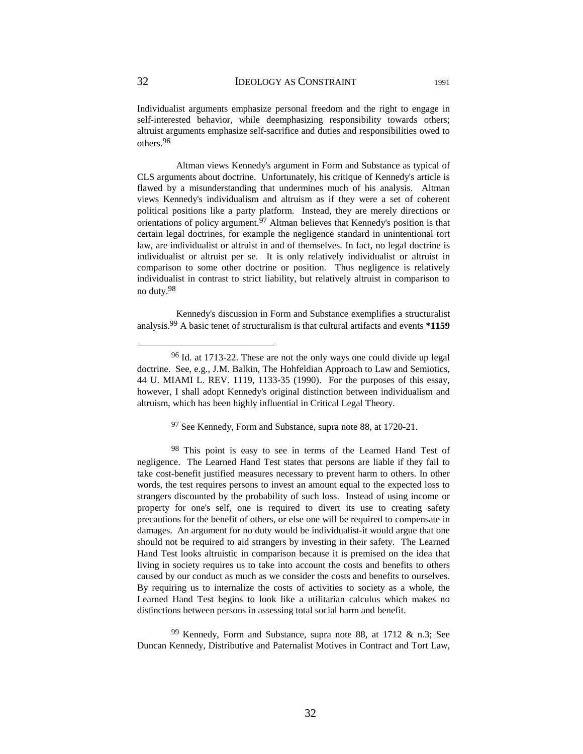Individualist arguments emphasize personal freedom and the right to engage in self-interested behavior, while deemphasizing responsibility towards others; altruist arguments emphasize self-sacrifice and duties and responsibilities owed to others.96

 Altman views Kennedy's argument in Form and Substance as typical of CLS arguments about doctrine. Unfortunately, his critique of Kennedy's article is flawed by a misunderstanding that undermines much of his analysis. Altman views Kennedy's individualism and altruism as if they were a set of coherent political positions like a party platform. Instead, they are merely directions or orientations of policy argument.97 Altman believes that Kennedy's position is that certain legal doctrines, for example the negligence standard in unintentional tort law, are individualist or altruist in and of themselves. In fact, no legal doctrine is individualist or altruist per se. It is only relatively individualist or altruist in comparison to some other doctrine or position. Thus negligence is relatively individualist in contrast to strict liability, but relatively altruist in comparison to no duty.98

 Kennedy's discussion in Form and Substance exemplifies a structuralist analysis.99 A basic tenet of structuralism is that cultural artifacts and events **\*1159**

97 See Kennedy, Form and Substance, supra note 88, at 1720-21.

98 This point is easy to see in terms of the Learned Hand Test of negligence. The Learned Hand Test states that persons are liable if they fail to take cost-benefit justified measures necessary to prevent harm to others. In other words, the test requires persons to invest an amount equal to the expected loss to strangers discounted by the probability of such loss. Instead of using income or property for one's self, one is required to divert its use to creating safety precautions for the benefit of others, or else one will be required to compensate in damages. An argument for no duty would be individualist-it would argue that one should not be required to aid strangers by investing in their safety. The Learned Hand Test looks altruistic in comparison because it is premised on the idea that living in society requires us to take into account the costs and benefits to others caused by our conduct as much as we consider the costs and benefits to ourselves. By requiring us to internalize the costs of activities to society as a whole, the Learned Hand Test begins to look like a utilitarian calculus which makes no distinctions between persons in assessing total social harm and benefit.

 $99$  Kennedy, Form and Substance, supra note 88, at 1712 & n.3; See Duncan Kennedy, Distributive and Paternalist Motives in Contract and Tort Law,

 <sup>96</sup> Id. at 1713-22. These are not the only ways one could divide up legal doctrine. See, e.g., J.M. Balkin, The Hohfeldian Approach to Law and Semiotics, 44 U. MIAMI L. REV. 1119, 1133-35 (1990). For the purposes of this essay, however, I shall adopt Kennedy's original distinction between individualism and altruism, which has been highly influential in Critical Legal Theory.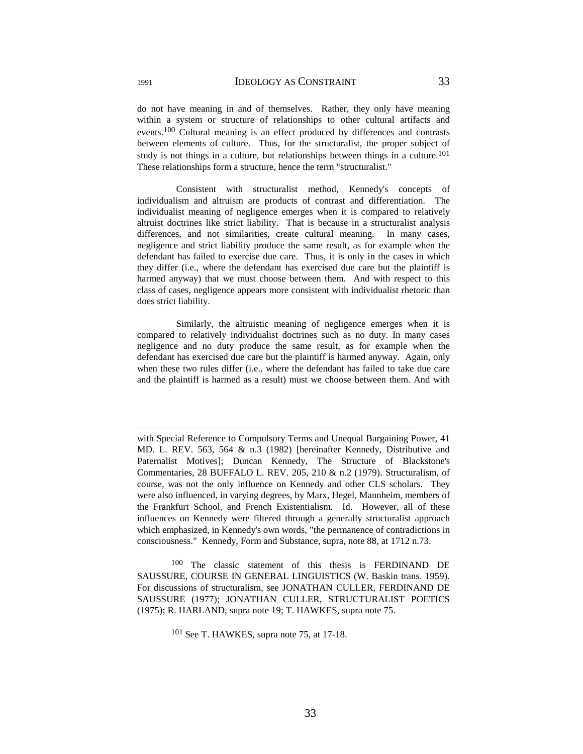do not have meaning in and of themselves. Rather, they only have meaning within a system or structure of relationships to other cultural artifacts and events.100 Cultural meaning is an effect produced by differences and contrasts between elements of culture. Thus, for the structuralist, the proper subject of study is not things in a culture, but relationships between things in a culture.<sup>101</sup> These relationships form a structure, hence the term "structuralist."

 Consistent with structuralist method, Kennedy's concepts of individualism and altruism are products of contrast and differentiation. The individualist meaning of negligence emerges when it is compared to relatively altruist doctrines like strict liability. That is because in a structuralist analysis differences, and not similarities, create cultural meaning. In many cases, negligence and strict liability produce the same result, as for example when the defendant has failed to exercise due care. Thus, it is only in the cases in which they differ (i.e., where the defendant has exercised due care but the plaintiff is harmed anyway) that we must choose between them. And with respect to this class of cases, negligence appears more consistent with individualist rhetoric than does strict liability.

 Similarly, the altruistic meaning of negligence emerges when it is compared to relatively individualist doctrines such as no duty. In many cases negligence and no duty produce the same result, as for example when the defendant has exercised due care but the plaintiff is harmed anyway. Again, only when these two rules differ (i.e., where the defendant has failed to take due care and the plaintiff is harmed as a result) must we choose between them. And with

100 The classic statement of this thesis is FERDINAND DE SAUSSURE, COURSE IN GENERAL LINGUISTICS (W. Baskin trans. 1959). For discussions of structuralism, see JONATHAN CULLER, FERDINAND DE SAUSSURE (1977); JONATHAN CULLER, STRUCTURALIST POETICS (1975); R. HARLAND, supra note 19; T. HAWKES, supra note 75.

101 See T. HAWKES, supra note 75, at 17-18.

 $\overline{a}$ 

with Special Reference to Compulsory Terms and Unequal Bargaining Power, 41 MD. L. REV. 563, 564 & n.3 (1982) [hereinafter Kennedy, Distributive and Paternalist Motives]; Duncan Kennedy, The Structure of Blackstone's Commentaries, 28 BUFFALO L. REV. 205, 210 & n.2 (1979). Structuralism, of course, was not the only influence on Kennedy and other CLS scholars. They were also influenced, in varying degrees, by Marx, Hegel, Mannheim, members of the Frankfurt School, and French Existentialism. Id. However, all of these influences on Kennedy were filtered through a generally structuralist approach which emphasized, in Kennedy's own words, "the permanence of contradictions in consciousness." Kennedy, Form and Substance, supra, note 88, at 1712 n.73.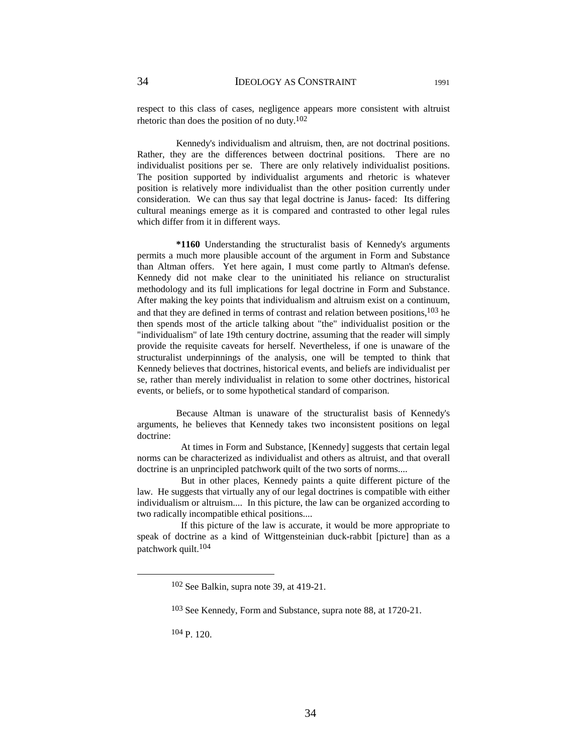respect to this class of cases, negligence appears more consistent with altruist rhetoric than does the position of no duty.102

 Kennedy's individualism and altruism, then, are not doctrinal positions. Rather, they are the differences between doctrinal positions. There are no individualist positions per se. There are only relatively individualist positions. The position supported by individualist arguments and rhetoric is whatever position is relatively more individualist than the other position currently under consideration. We can thus say that legal doctrine is Janus- faced: Its differing cultural meanings emerge as it is compared and contrasted to other legal rules which differ from it in different ways.

 **\*1160** Understanding the structuralist basis of Kennedy's arguments permits a much more plausible account of the argument in Form and Substance than Altman offers. Yet here again, I must come partly to Altman's defense. Kennedy did not make clear to the uninitiated his reliance on structuralist methodology and its full implications for legal doctrine in Form and Substance. After making the key points that individualism and altruism exist on a continuum, and that they are defined in terms of contrast and relation between positions,  $103$  he then spends most of the article talking about "the" individualist position or the "individualism" of late 19th century doctrine, assuming that the reader will simply provide the requisite caveats for herself. Nevertheless, if one is unaware of the structuralist underpinnings of the analysis, one will be tempted to think that Kennedy believes that doctrines, historical events, and beliefs are individualist per se, rather than merely individualist in relation to some other doctrines, historical events, or beliefs, or to some hypothetical standard of comparison.

 Because Altman is unaware of the structuralist basis of Kennedy's arguments, he believes that Kennedy takes two inconsistent positions on legal doctrine:

 At times in Form and Substance, [Kennedy] suggests that certain legal norms can be characterized as individualist and others as altruist, and that overall doctrine is an unprincipled patchwork quilt of the two sorts of norms....

 But in other places, Kennedy paints a quite different picture of the law. He suggests that virtually any of our legal doctrines is compatible with either individualism or altruism.... In this picture, the law can be organized according to two radically incompatible ethical positions....

 If this picture of the law is accurate, it would be more appropriate to speak of doctrine as a kind of Wittgensteinian duck-rabbit [picture] than as a patchwork quilt.104

104 P. 120.

 <sup>102</sup> See Balkin, supra note 39, at 419-21.

<sup>103</sup> See Kennedy, Form and Substance, supra note 88, at 1720-21.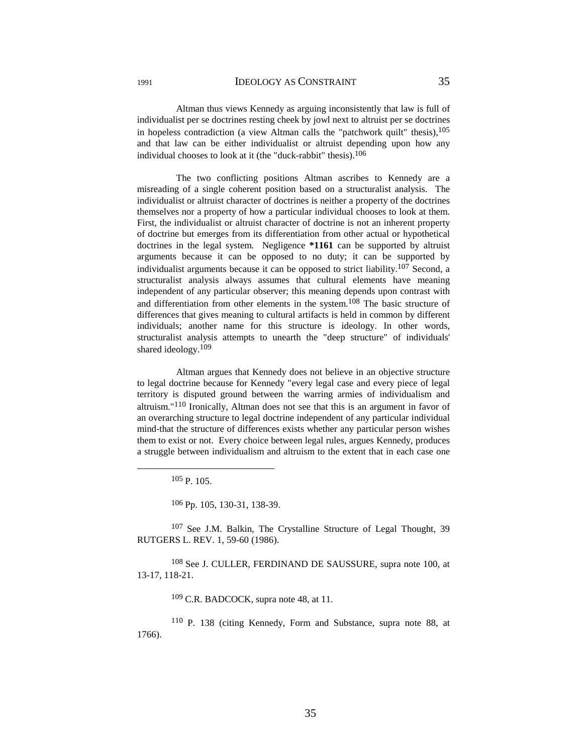Altman thus views Kennedy as arguing inconsistently that law is full of individualist per se doctrines resting cheek by jowl next to altruist per se doctrines in hopeless contradiction (a view Altman calls the "patchwork quilt" thesis),<sup>105</sup> and that law can be either individualist or altruist depending upon how any individual chooses to look at it (the "duck-rabbit" thesis).106

 The two conflicting positions Altman ascribes to Kennedy are a misreading of a single coherent position based on a structuralist analysis. The individualist or altruist character of doctrines is neither a property of the doctrines themselves nor a property of how a particular individual chooses to look at them. First, the individualist or altruist character of doctrine is not an inherent property of doctrine but emerges from its differentiation from other actual or hypothetical doctrines in the legal system. Negligence **\*1161** can be supported by altruist arguments because it can be opposed to no duty; it can be supported by individualist arguments because it can be opposed to strict liability.<sup>107</sup> Second, a structuralist analysis always assumes that cultural elements have meaning independent of any particular observer; this meaning depends upon contrast with and differentiation from other elements in the system.108 The basic structure of differences that gives meaning to cultural artifacts is held in common by different individuals; another name for this structure is ideology. In other words, structuralist analysis attempts to unearth the "deep structure" of individuals' shared ideology.<sup>109</sup>

 Altman argues that Kennedy does not believe in an objective structure to legal doctrine because for Kennedy "every legal case and every piece of legal territory is disputed ground between the warring armies of individualism and altruism."110 Ironically, Altman does not see that this is an argument in favor of an overarching structure to legal doctrine independent of any particular individual mind-that the structure of differences exists whether any particular person wishes them to exist or not. Every choice between legal rules, argues Kennedy, produces a struggle between individualism and altruism to the extent that in each case one

 $105 p$  105

106 Pp. 105, 130-31, 138-39.

107 See J.M. Balkin, The Crystalline Structure of Legal Thought, 39 RUTGERS L. REV. 1, 59-60 (1986).

108 See J. CULLER, FERDINAND DE SAUSSURE, supra note 100, at 13-17, 118-21.

109 C.R. BADCOCK, supra note 48, at 11.

110 P. 138 (citing Kennedy, Form and Substance, supra note 88, at 1766).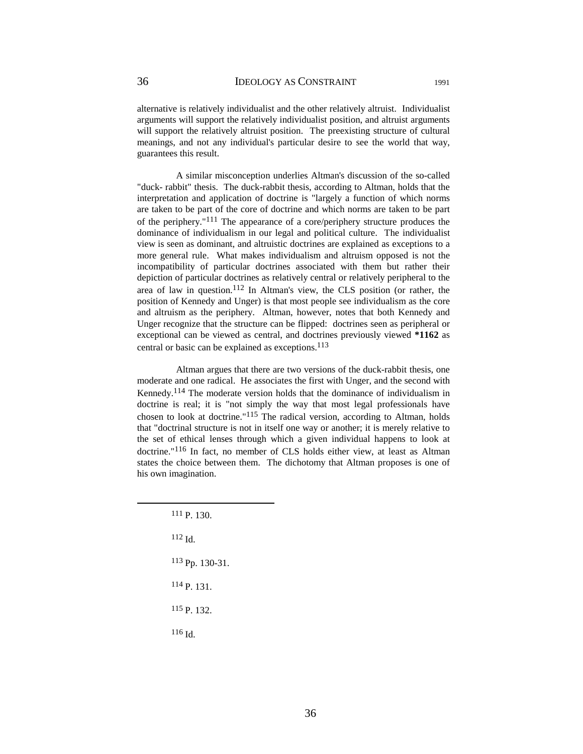alternative is relatively individualist and the other relatively altruist. Individualist arguments will support the relatively individualist position, and altruist arguments will support the relatively altruist position. The preexisting structure of cultural meanings, and not any individual's particular desire to see the world that way, guarantees this result.

 A similar misconception underlies Altman's discussion of the so-called "duck- rabbit" thesis. The duck-rabbit thesis, according to Altman, holds that the interpretation and application of doctrine is "largely a function of which norms are taken to be part of the core of doctrine and which norms are taken to be part of the periphery."111 The appearance of a core/periphery structure produces the dominance of individualism in our legal and political culture. The individualist view is seen as dominant, and altruistic doctrines are explained as exceptions to a more general rule. What makes individualism and altruism opposed is not the incompatibility of particular doctrines associated with them but rather their depiction of particular doctrines as relatively central or relatively peripheral to the area of law in question.<sup>112</sup> In Altman's view, the CLS position (or rather, the position of Kennedy and Unger) is that most people see individualism as the core and altruism as the periphery. Altman, however, notes that both Kennedy and Unger recognize that the structure can be flipped: doctrines seen as peripheral or exceptional can be viewed as central, and doctrines previously viewed **\*1162** as central or basic can be explained as exceptions.  $^{113}$ 

 Altman argues that there are two versions of the duck-rabbit thesis, one moderate and one radical. He associates the first with Unger, and the second with Kennedy.114 The moderate version holds that the dominance of individualism in doctrine is real; it is "not simply the way that most legal professionals have chosen to look at doctrine."115 The radical version, according to Altman, holds that "doctrinal structure is not in itself one way or another; it is merely relative to the set of ethical lenses through which a given individual happens to look at doctrine."116 In fact, no member of CLS holds either view, at least as Altman states the choice between them. The dichotomy that Altman proposes is one of his own imagination.

 111 P. 130.  $112$  Id. 113 Pp. 130-31. 114 P. 131. 115 P. 132. 116 Id.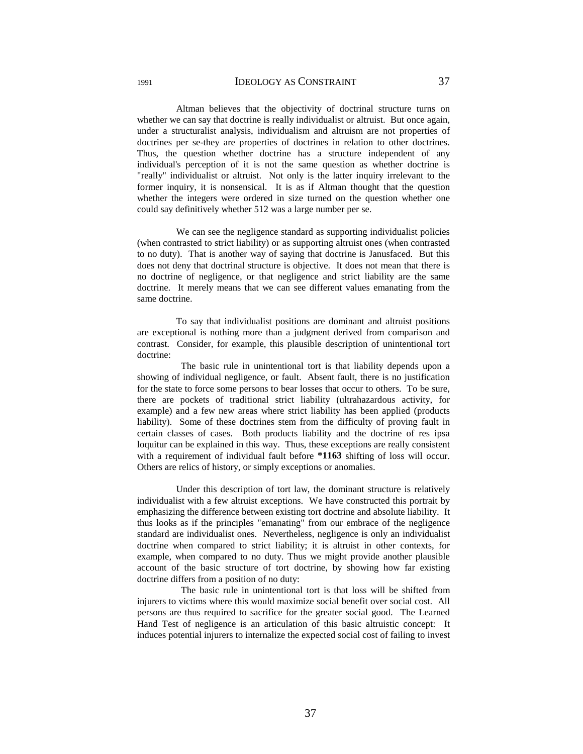Altman believes that the objectivity of doctrinal structure turns on whether we can say that doctrine is really individualist or altruist. But once again, under a structuralist analysis, individualism and altruism are not properties of doctrines per se-they are properties of doctrines in relation to other doctrines. Thus, the question whether doctrine has a structure independent of any individual's perception of it is not the same question as whether doctrine is "really" individualist or altruist. Not only is the latter inquiry irrelevant to the former inquiry, it is nonsensical. It is as if Altman thought that the question whether the integers were ordered in size turned on the question whether one could say definitively whether 512 was a large number per se.

 We can see the negligence standard as supporting individualist policies (when contrasted to strict liability) or as supporting altruist ones (when contrasted to no duty). That is another way of saying that doctrine is Janusfaced. But this does not deny that doctrinal structure is objective. It does not mean that there is no doctrine of negligence, or that negligence and strict liability are the same doctrine. It merely means that we can see different values emanating from the same doctrine.

 To say that individualist positions are dominant and altruist positions are exceptional is nothing more than a judgment derived from comparison and contrast. Consider, for example, this plausible description of unintentional tort doctrine:

 The basic rule in unintentional tort is that liability depends upon a showing of individual negligence, or fault. Absent fault, there is no justification for the state to force some persons to bear losses that occur to others. To be sure, there are pockets of traditional strict liability (ultrahazardous activity, for example) and a few new areas where strict liability has been applied (products liability). Some of these doctrines stem from the difficulty of proving fault in certain classes of cases. Both products liability and the doctrine of res ipsa loquitur can be explained in this way. Thus, these exceptions are really consistent with a requirement of individual fault before **\*1163** shifting of loss will occur. Others are relics of history, or simply exceptions or anomalies.

 Under this description of tort law, the dominant structure is relatively individualist with a few altruist exceptions. We have constructed this portrait by emphasizing the difference between existing tort doctrine and absolute liability. It thus looks as if the principles "emanating" from our embrace of the negligence standard are individualist ones. Nevertheless, negligence is only an individualist doctrine when compared to strict liability; it is altruist in other contexts, for example, when compared to no duty. Thus we might provide another plausible account of the basic structure of tort doctrine, by showing how far existing doctrine differs from a position of no duty:

 The basic rule in unintentional tort is that loss will be shifted from injurers to victims where this would maximize social benefit over social cost. All persons are thus required to sacrifice for the greater social good. The Learned Hand Test of negligence is an articulation of this basic altruistic concept: It induces potential injurers to internalize the expected social cost of failing to invest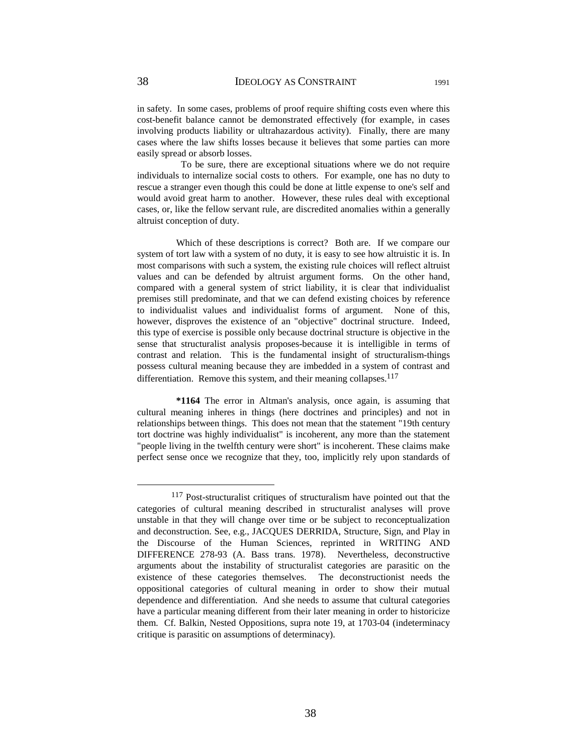cost-benefit balance cannot be demonstrated effectively (for example, in cases involving products liability or ultrahazardous activity). Finally, there are many cases where the law shifts losses because it believes that some parties can more easily spread or absorb losses.

 To be sure, there are exceptional situations where we do not require individuals to internalize social costs to others. For example, one has no duty to rescue a stranger even though this could be done at little expense to one's self and would avoid great harm to another. However, these rules deal with exceptional cases, or, like the fellow servant rule, are discredited anomalies within a generally altruist conception of duty.

 Which of these descriptions is correct? Both are. If we compare our system of tort law with a system of no duty, it is easy to see how altruistic it is. In most comparisons with such a system, the existing rule choices will reflect altruist values and can be defended by altruist argument forms. On the other hand, compared with a general system of strict liability, it is clear that individualist premises still predominate, and that we can defend existing choices by reference to individualist values and individualist forms of argument. None of this, however, disproves the existence of an "objective" doctrinal structure. Indeed, this type of exercise is possible only because doctrinal structure is objective in the sense that structuralist analysis proposes-because it is intelligible in terms of contrast and relation. This is the fundamental insight of structuralism-things possess cultural meaning because they are imbedded in a system of contrast and differentiation. Remove this system, and their meaning collapses. $117$ 

 **\*1164** The error in Altman's analysis, once again, is assuming that cultural meaning inheres in things (here doctrines and principles) and not in relationships between things. This does not mean that the statement "19th century tort doctrine was highly individualist" is incoherent, any more than the statement "people living in the twelfth century were short" is incoherent. These claims make perfect sense once we recognize that they, too, implicitly rely upon standards of

 <sup>117</sup> Post-structuralist critiques of structuralism have pointed out that the categories of cultural meaning described in structuralist analyses will prove unstable in that they will change over time or be subject to reconceptualization and deconstruction. See, e.g., JACQUES DERRIDA, Structure, Sign, and Play in the Discourse of the Human Sciences, reprinted in WRITING AND DIFFERENCE 278-93 (A. Bass trans. 1978). Nevertheless, deconstructive arguments about the instability of structuralist categories are parasitic on the existence of these categories themselves. The deconstructionist needs the oppositional categories of cultural meaning in order to show their mutual dependence and differentiation. And she needs to assume that cultural categories have a particular meaning different from their later meaning in order to historicize them. Cf. Balkin, Nested Oppositions, supra note 19, at 1703-04 (indeterminacy critique is parasitic on assumptions of determinacy).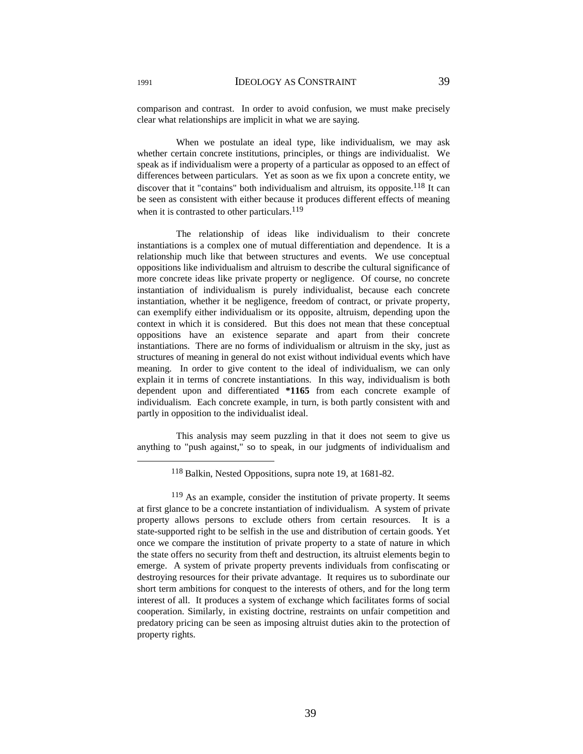comparison and contrast. In order to avoid confusion, we must make precisely clear what relationships are implicit in what we are saying.

 When we postulate an ideal type, like individualism, we may ask whether certain concrete institutions, principles, or things are individualist. We speak as if individualism were a property of a particular as opposed to an effect of differences between particulars. Yet as soon as we fix upon a concrete entity, we discover that it "contains" both individualism and altruism, its opposite.<sup>118</sup> It can be seen as consistent with either because it produces different effects of meaning when it is contrasted to other particulars. $119$ 

 The relationship of ideas like individualism to their concrete instantiations is a complex one of mutual differentiation and dependence. It is a relationship much like that between structures and events. We use conceptual oppositions like individualism and altruism to describe the cultural significance of more concrete ideas like private property or negligence. Of course, no concrete instantiation of individualism is purely individualist, because each concrete instantiation, whether it be negligence, freedom of contract, or private property, can exemplify either individualism or its opposite, altruism, depending upon the context in which it is considered. But this does not mean that these conceptual oppositions have an existence separate and apart from their concrete instantiations. There are no forms of individualism or altruism in the sky, just as structures of meaning in general do not exist without individual events which have meaning. In order to give content to the ideal of individualism, we can only explain it in terms of concrete instantiations. In this way, individualism is both dependent upon and differentiated **\*1165** from each concrete example of individualism. Each concrete example, in turn, is both partly consistent with and partly in opposition to the individualist ideal.

 This analysis may seem puzzling in that it does not seem to give us anything to "push against," so to speak, in our judgments of individualism and

 <sup>118</sup> Balkin, Nested Oppositions, supra note 19, at 1681-82.

<sup>119</sup> As an example, consider the institution of private property. It seems at first glance to be a concrete instantiation of individualism. A system of private property allows persons to exclude others from certain resources. It is a state-supported right to be selfish in the use and distribution of certain goods. Yet once we compare the institution of private property to a state of nature in which the state offers no security from theft and destruction, its altruist elements begin to emerge. A system of private property prevents individuals from confiscating or destroying resources for their private advantage. It requires us to subordinate our short term ambitions for conquest to the interests of others, and for the long term interest of all. It produces a system of exchange which facilitates forms of social cooperation. Similarly, in existing doctrine, restraints on unfair competition and predatory pricing can be seen as imposing altruist duties akin to the protection of property rights.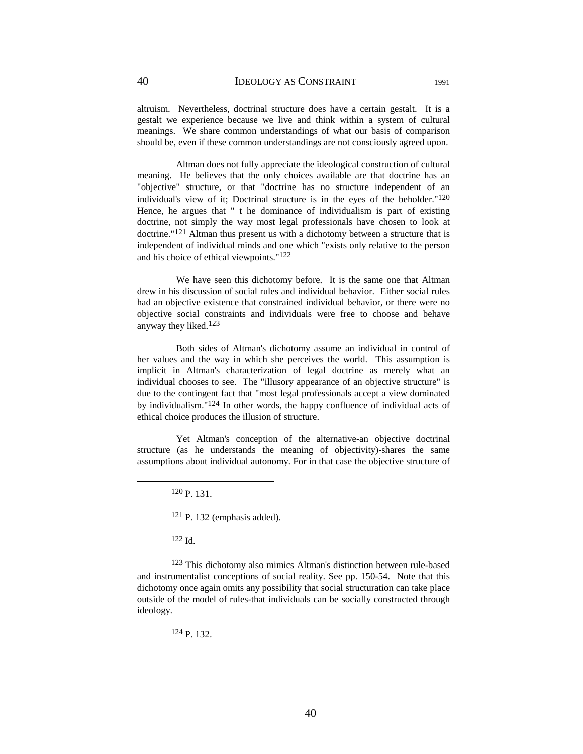altruism. Nevertheless, doctrinal structure does have a certain gestalt. It is a gestalt we experience because we live and think within a system of cultural meanings. We share common understandings of what our basis of comparison should be, even if these common understandings are not consciously agreed upon.

 Altman does not fully appreciate the ideological construction of cultural meaning. He believes that the only choices available are that doctrine has an "objective" structure, or that "doctrine has no structure independent of an individual's view of it; Doctrinal structure is in the eyes of the beholder."120 Hence, he argues that " t he dominance of individualism is part of existing doctrine, not simply the way most legal professionals have chosen to look at doctrine."121 Altman thus present us with a dichotomy between a structure that is independent of individual minds and one which "exists only relative to the person and his choice of ethical viewpoints."122

 We have seen this dichotomy before. It is the same one that Altman drew in his discussion of social rules and individual behavior. Either social rules had an objective existence that constrained individual behavior, or there were no objective social constraints and individuals were free to choose and behave anyway they liked.123

 Both sides of Altman's dichotomy assume an individual in control of her values and the way in which she perceives the world. This assumption is implicit in Altman's characterization of legal doctrine as merely what an individual chooses to see. The "illusory appearance of an objective structure" is due to the contingent fact that "most legal professionals accept a view dominated by individualism."124 In other words, the happy confluence of individual acts of ethical choice produces the illusion of structure.

 Yet Altman's conception of the alternative-an objective doctrinal structure (as he understands the meaning of objectivity)-shares the same assumptions about individual autonomy. For in that case the objective structure of

120 P. 131.

121 P. 132 (emphasis added).

 $122$  Id.

123 This dichotomy also mimics Altman's distinction between rule-based and instrumentalist conceptions of social reality. See pp. 150-54. Note that this dichotomy once again omits any possibility that social structuration can take place outside of the model of rules-that individuals can be socially constructed through ideology.

124 P. 132.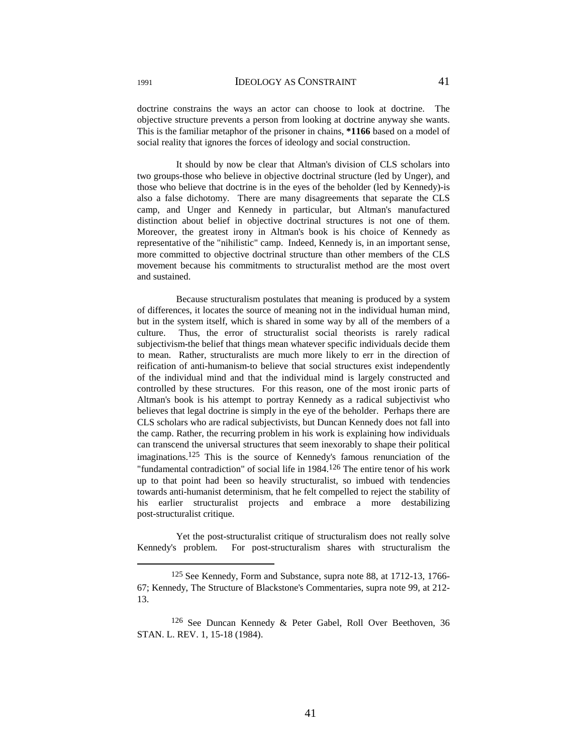doctrine constrains the ways an actor can choose to look at doctrine. The objective structure prevents a person from looking at doctrine anyway she wants. This is the familiar metaphor of the prisoner in chains, **\*1166** based on a model of social reality that ignores the forces of ideology and social construction.

 It should by now be clear that Altman's division of CLS scholars into two groups-those who believe in objective doctrinal structure (led by Unger), and those who believe that doctrine is in the eyes of the beholder (led by Kennedy)-is also a false dichotomy. There are many disagreements that separate the CLS camp, and Unger and Kennedy in particular, but Altman's manufactured distinction about belief in objective doctrinal structures is not one of them. Moreover, the greatest irony in Altman's book is his choice of Kennedy as representative of the "nihilistic" camp. Indeed, Kennedy is, in an important sense, more committed to objective doctrinal structure than other members of the CLS movement because his commitments to structuralist method are the most overt and sustained.

 Because structuralism postulates that meaning is produced by a system of differences, it locates the source of meaning not in the individual human mind, but in the system itself, which is shared in some way by all of the members of a culture. Thus, the error of structuralist social theorists is rarely radical subjectivism-the belief that things mean whatever specific individuals decide them to mean. Rather, structuralists are much more likely to err in the direction of reification of anti-humanism-to believe that social structures exist independently of the individual mind and that the individual mind is largely constructed and controlled by these structures. For this reason, one of the most ironic parts of Altman's book is his attempt to portray Kennedy as a radical subjectivist who believes that legal doctrine is simply in the eye of the beholder. Perhaps there are CLS scholars who are radical subjectivists, but Duncan Kennedy does not fall into the camp. Rather, the recurring problem in his work is explaining how individuals can transcend the universal structures that seem inexorably to shape their political imaginations.125 This is the source of Kennedy's famous renunciation of the "fundamental contradiction" of social life in 1984.<sup>126</sup> The entire tenor of his work up to that point had been so heavily structuralist, so imbued with tendencies towards anti-humanist determinism, that he felt compelled to reject the stability of his earlier structuralist projects and embrace a more destabilizing post-structuralist critique.

 Yet the post-structuralist critique of structuralism does not really solve Kennedy's problem. For post-structuralism shares with structuralism the

 <sup>125</sup> See Kennedy, Form and Substance, supra note 88, at 1712-13, 1766- 67; Kennedy, The Structure of Blackstone's Commentaries, supra note 99, at 212- 13.

<sup>126</sup> See Duncan Kennedy & Peter Gabel, Roll Over Beethoven, 36 STAN. L. REV. 1, 15-18 (1984).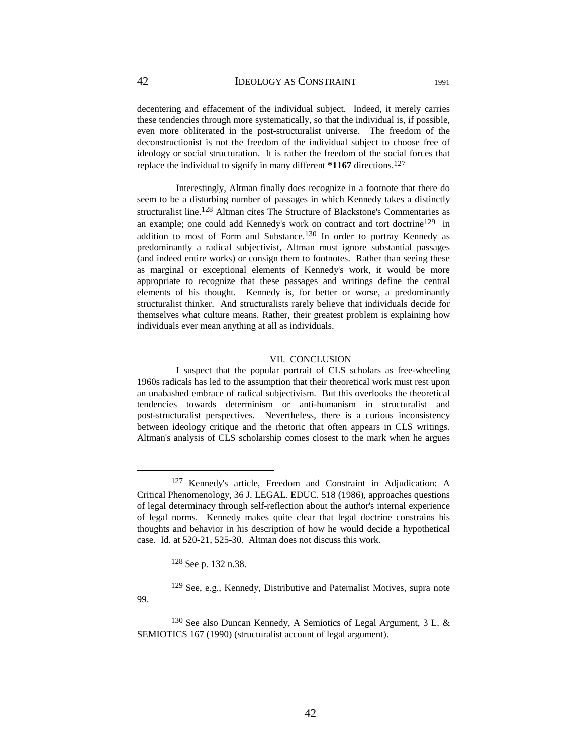decentering and effacement of the individual subject. Indeed, it merely carries these tendencies through more systematically, so that the individual is, if possible, even more obliterated in the post-structuralist universe. The freedom of the deconstructionist is not the freedom of the individual subject to choose free of ideology or social structuration. It is rather the freedom of the social forces that replace the individual to signify in many different **\*1167** directions.127

 Interestingly, Altman finally does recognize in a footnote that there do seem to be a disturbing number of passages in which Kennedy takes a distinctly structuralist line.128 Altman cites The Structure of Blackstone's Commentaries as an example; one could add Kennedy's work on contract and tort doctrine<sup>129</sup> in addition to most of Form and Substance.<sup>130</sup> In order to portray Kennedy as predominantly a radical subjectivist, Altman must ignore substantial passages (and indeed entire works) or consign them to footnotes. Rather than seeing these as marginal or exceptional elements of Kennedy's work, it would be more appropriate to recognize that these passages and writings define the central elements of his thought. Kennedy is, for better or worse, a predominantly structuralist thinker. And structuralists rarely believe that individuals decide for themselves what culture means. Rather, their greatest problem is explaining how individuals ever mean anything at all as individuals.

#### VII. CONCLUSION

 I suspect that the popular portrait of CLS scholars as free-wheeling 1960s radicals has led to the assumption that their theoretical work must rest upon an unabashed embrace of radical subjectivism. But this overlooks the theoretical tendencies towards determinism or anti-humanism in structuralist and post-structuralist perspectives. Nevertheless, there is a curious inconsistency between ideology critique and the rhetoric that often appears in CLS writings. Altman's analysis of CLS scholarship comes closest to the mark when he argues

128 See p. 132 n.38.

99.

129 See, e.g., Kennedy, Distributive and Paternalist Motives, supra note

 <sup>127</sup> Kennedy's article, Freedom and Constraint in Adjudication: A Critical Phenomenology, 36 J. LEGAL. EDUC. 518 (1986), approaches questions of legal determinacy through self-reflection about the author's internal experience of legal norms. Kennedy makes quite clear that legal doctrine constrains his thoughts and behavior in his description of how he would decide a hypothetical case. Id. at 520-21, 525-30. Altman does not discuss this work.

<sup>130</sup> See also Duncan Kennedy, A Semiotics of Legal Argument, 3 L. & SEMIOTICS 167 (1990) (structuralist account of legal argument).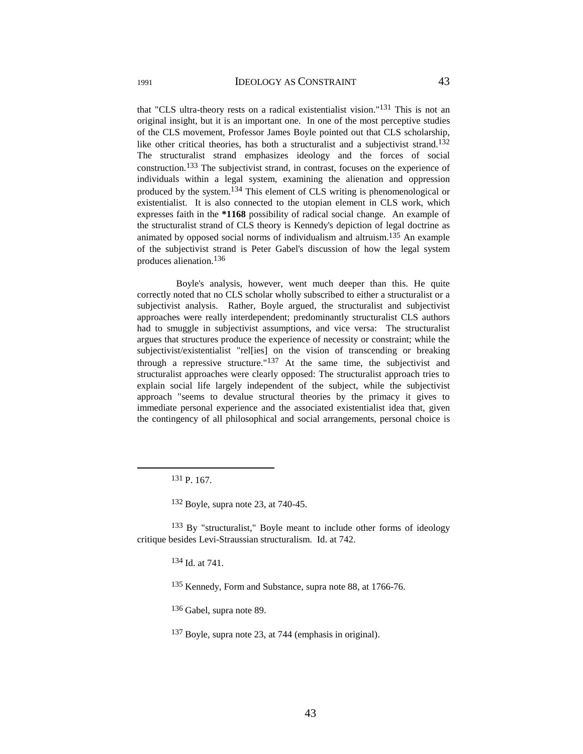that "CLS ultra-theory rests on a radical existentialist vision."131 This is not an original insight, but it is an important one. In one of the most perceptive studies of the CLS movement, Professor James Boyle pointed out that CLS scholarship, like other critical theories, has both a structuralist and a subjectivist strand.<sup>132</sup> The structuralist strand emphasizes ideology and the forces of social construction.133 The subjectivist strand, in contrast, focuses on the experience of individuals within a legal system, examining the alienation and oppression produced by the system.134 This element of CLS writing is phenomenological or existentialist. It is also connected to the utopian element in CLS work, which expresses faith in the **\*1168** possibility of radical social change. An example of the structuralist strand of CLS theory is Kennedy's depiction of legal doctrine as animated by opposed social norms of individualism and altruism.135 An example of the subjectivist strand is Peter Gabel's discussion of how the legal system produces alienation.136

 Boyle's analysis, however, went much deeper than this. He quite correctly noted that no CLS scholar wholly subscribed to either a structuralist or a subjectivist analysis. Rather, Boyle argued, the structuralist and subjectivist approaches were really interdependent; predominantly structuralist CLS authors had to smuggle in subjectivist assumptions, and vice versa: The structuralist argues that structures produce the experience of necessity or constraint; while the subjectivist/existentialist "rel[ies] on the vision of transcending or breaking through a repressive structure."<sup>137</sup> At the same time, the subjectivist and structuralist approaches were clearly opposed: The structuralist approach tries to explain social life largely independent of the subject, while the subjectivist approach "seems to devalue structural theories by the primacy it gives to immediate personal experience and the associated existentialist idea that, given the contingency of all philosophical and social arrangements, personal choice is

133 By "structuralist," Boyle meant to include other forms of ideology critique besides Levi-Straussian structuralism. Id. at 742.

134 Id. at 741.

136 Gabel, supra note 89.

 <sup>131</sup> P. 167.

<sup>132</sup> Boyle, supra note 23, at 740-45.

<sup>135</sup> Kennedy, Form and Substance, supra note 88, at 1766-76.

<sup>137</sup> Boyle, supra note 23, at 744 (emphasis in original).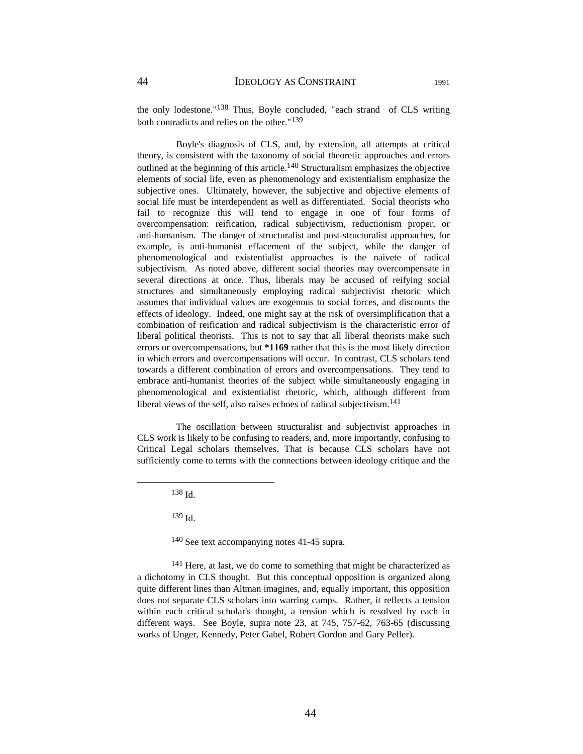the only lodestone."138 Thus, Boyle concluded, "each strand of CLS writing both contradicts and relies on the other."139

 Boyle's diagnosis of CLS, and, by extension, all attempts at critical theory, is consistent with the taxonomy of social theoretic approaches and errors outlined at the beginning of this article.140 Structuralism emphasizes the objective elements of social life, even as phenomenology and existentialism emphasize the subjective ones. Ultimately, however, the subjective and objective elements of social life must be interdependent as well as differentiated. Social theorists who fail to recognize this will tend to engage in one of four forms of overcompensation: reification, radical subjectivism, reductionism proper, or anti-humanism. The danger of structuralist and post-structuralist approaches, for example, is anti-humanist effacement of the subject, while the danger of phenomenological and existentialist approaches is the naivete of radical subjectivism. As noted above, different social theories may overcompensate in several directions at once. Thus, liberals may be accused of reifying social structures and simultaneously employing radical subjectivist rhetoric which assumes that individual values are exogenous to social forces, and discounts the effects of ideology. Indeed, one might say at the risk of oversimplification that a combination of reification and radical subjectivism is the characteristic error of liberal political theorists. This is not to say that all liberal theorists make such errors or overcompensations, but **\*1169** rather that this is the most likely direction in which errors and overcompensations will occur. In contrast, CLS scholars tend towards a different combination of errors and overcompensations. They tend to embrace anti-humanist theories of the subject while simultaneously engaging in phenomenological and existentialist rhetoric, which, although different from liberal views of the self, also raises echoes of radical subjectivism.<sup>141</sup>

 The oscillation between structuralist and subjectivist approaches in CLS work is likely to be confusing to readers, and, more importantly, confusing to Critical Legal scholars themselves. That is because CLS scholars have not sufficiently come to terms with the connections between ideology critique and the

138 Id.

139 Id.

140 See text accompanying notes 41-45 supra.

<sup>141</sup> Here, at last, we do come to something that might be characterized as a dichotomy in CLS thought. But this conceptual opposition is organized along quite different lines than Altman imagines, and, equally important, this opposition does not separate CLS scholars into warring camps. Rather, it reflects a tension within each critical scholar's thought, a tension which is resolved by each in different ways. See Boyle, supra note 23, at 745, 757-62, 763-65 (discussing works of Unger, Kennedy, Peter Gabel, Robert Gordon and Gary Peller).